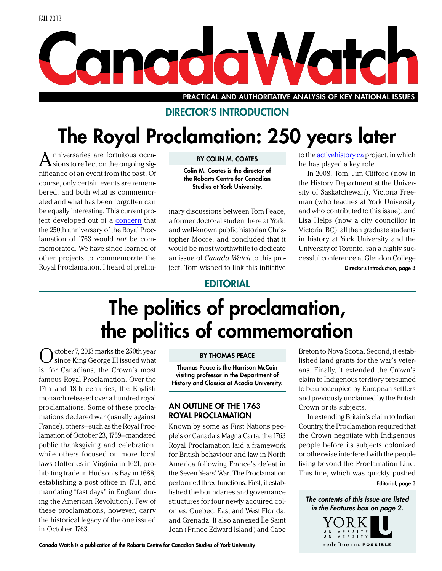# <span id="page-0-0"></span>Canaday Votch

PRACTICAL AND AUTHORITATIVE ANALYSIS OF KEY NATIONAL ISSUES

### Director's Introduction

## The Royal Proclamation: 250 years later

nniversaries are fortuitous occasions to reflect on the ongoing significance of an event from the past. Of course, only certain events are remembered, and both what is commemorated and what has been forgotten can be equally interesting. This current project developed out of a [concern](http://activehistory.ca/2013/02/2013-its-time-to-commemorate-the-1763-royal-proclamation) that the 250th anniversary of the Royal Proclamation of 1763 would *not* be commemorated. We have since learned of other projects to commemorate the Royal Proclamation. I heard of prelim-

### By Colin M. Coates

Colin M. Coates is the director of the Robarts Centre for Canadian Studies at York University.

inary discussions between Tom Peace, a former doctoral student here at York, and well-known public historian Christopher Moore, and concluded that it would be most worthwhile to dedicate an issue of *Canada Watch* to this project. Tom wished to link this initiative

to the [activehistory.ca](http://activehistory.ca/) project, in which he has played a key role.

In 2008, Tom, Jim Clifford (now in the History Department at the University of Saskatchewan), Victoria Freeman (who teaches at York University and who contributed to this issue), and Lisa Helps (now a city councillor in Victoria, BC), all then graduate students in history at York University and the University of Toronto, ran a highly successful conference at Glendon College

Director's Introduction, page 3

### **EDITORIAL**

## The politics of proclamation, the politics of commemoration

 $\bigodot$  since King George III issued what is, for Canadians, the Crown's most famous Royal Proclamation. Over the 17th and 18th centuries, the English monarch released over a hundred royal proclamations. Some of these proclamations declared war (usually against France), others—such as the Royal Proclamation of October 23, 1759—mandated public thanksgiving and celebration, while others focused on more local laws (lotteries in Virginia in 1621, prohibiting trade in Hudson's Bay in 1688, establishing a post office in 1711, and mandating "fast days" in England during the American Revolution). Few of these proclamations, however, carry the historical legacy of the one issued in October 1763.

#### By Thomas Peace

Thomas Peace is the Harrison McCain visiting professor in the Department of History and Classics at Acadia University.

### An Outline of the 1763 Royal Proclamation

Known by some as First Nations people's or Canada's Magna Carta, the 1763 Royal Proclamation laid a framework for British behaviour and law in North America following France's defeat in the Seven Years' War. The Proclamation performed three functions. First, it established the boundaries and governance structures for four newly acquired colonies: Quebec, East and West Florida, and Grenada. It also annexed Île Saint Jean (Prince Edward Island) and Cape

Breton to Nova Scotia. Second, it established land grants for the war's veterans. Finally, it extended the Crown's claim to Indigenous territory presumed to be unoccupied by European settlers and previously unclaimed by the British Crown or its subjects.

In extending Britain's claim to Indian Country, the Proclamation required that the Crown negotiate with Indigenous people before its subjects colonized or otherwise interfered with the people living beyond the Proclamation Line. This line, which was quickly pushed

Editorial, page 3

*The contents of this issue are listed in the Features box on page 2.*

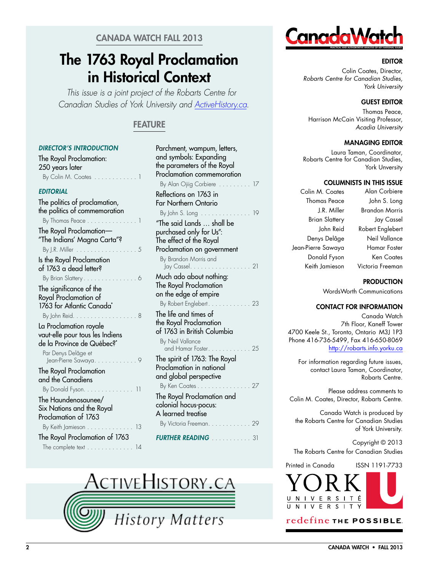### Canada Watch Fall 2013

### The 1763 Royal Proclamation in Historical Context

*This issue is a joint project of the Robarts Centre for Canadian Studies of York University and [ActiveHistory.ca.](http://activehistory.ca)*

### **FEATURE**

### *[Director's Introduction](#page-0-0)*

[The Royal Proclamation:](#page-0-0)  [250 years later](#page-0-0) [By Colin M. Coates . .](#page-0-0) . . . . . . . . . . 1

### *[Editorial](#page-0-0)*

| The politics of proclamation,<br>the politics of commemoration                            |
|-------------------------------------------------------------------------------------------|
| By Thomas Peace                                                                           |
| The Royal Proclamation-<br>"The Indians' Magna Carta"?                                    |
| By J.R. Miller $\dots \dots$<br>$\overline{\phantom{a}}$                                  |
| Is the Royal Proclamation<br>of 1763 a dead letter?                                       |
| By Brian Slattery                                                                         |
| The significance of the<br>Royal Proclamation of<br>1763 for Atlantic Canada <sup>*</sup> |
| By John Reid.<br>8                                                                        |
| La Proclamation royale<br>vaut-elle pour tous les Indiens                                 |
| de la Province de Québec?*                                                                |
| Par Denys Delâge et<br>Jean-Pierre Sawaya.                                                |
| The Royal Proclamation                                                                    |
| and the Canadiens                                                                         |
| By Donald Fyson.<br>11                                                                    |
| The Haundenosaunee/<br>Six Nations and the Royal                                          |
| Proclamation of 1763                                                                      |
| By Keith Jamieson<br>13                                                                   |
|                                                                                           |
| The Royal Proclamation of 1763                                                            |
| The complete text $\dots \dots \dots \dots \dots$ 14                                      |

| Parchment, wampum, letters,     |
|---------------------------------|
| and symbols: Expanding          |
| the parameters of the Royal     |
| Proclamation commemoration      |
| By Alan Ojiig Corbiere.<br>17   |
| Reflections on 1763 in          |
| <b>Far Northern Ontario</b>     |
| By John S. Long $\dots$ .<br>19 |
| "The said Lands  shall be       |
| purchased only for Us":         |
| The effect of the Royal         |
| Proclamation on government      |
| By Brandon Morris and           |
| Jay Cassel<br>21<br>.           |
| Much ado about nothing:         |
| The Royal Proclamation          |
| on the edge of empire           |
| By Robert Englebert.<br>23      |
| The life and times of           |
| the Royal Proclamation          |
| of 1763 in British Columbia     |
| By Neil Vallance                |
| and Hamar Foster.<br>25         |
| The spirit of 1763: The Royal   |
| Proclamation in national        |
| and global perspective          |
| By Ken Coates<br>27             |
| The Royal Proclamation and      |
| colonial hocus-pocus:           |
| A learned treatise              |
| By Victoria Freeman.<br>29      |
|                                 |
| <b>FURTHER READING</b><br>. 31  |





### **EDITOR**

Colin Coates, Director, *Robarts Centre for Canadian Studies, York University* 

### **GUEST EDITOR**

Thomas Peace, Harrison McCain Visiting Professor, *Acadia University* 

### Managing Editor

Laura Taman, Coordinator, Robarts Centre for Canadian Studies, York Unversity

#### Columnists in this issue

Colin M. Coates Thomas Peace J.R. Miller Brian Slattery John Reid Denys Delâge Jean-Pierre Sawaya Donald Fyson Keith Jamieson

Alan Corbiere John S. Long Brandon Morris Jay Cassel Robert Englebert Neil Vallance Hamar Foster Ken Coates Victoria Freeman

#### **PRODUCTION**

WordsWorth Communications

#### Contact for information

Canada Watch 7th Floor, Kaneff Tower 4700 Keele St., Toronto, Ontario M3J 1P3 Phone 416-736-5499, Fax 416-650-8069 <http://robarts.info.yorku.ca>

For information regarding future issues, contact Laura Taman, Coordinator, Robarts Centre.

Please address comments to Colin M. Coates, Director, Robarts Centre.

Canada Watch is produced by the Robarts Centre for Canadian Studies of York University.

Copyright © 2013 The Robarts Centre for Canadian Studies

Printed in Canada ISSN 1191-7733



### redefine THE POSSIBLE.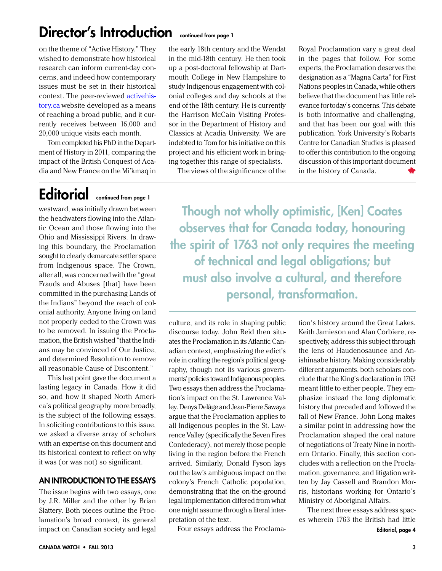### Director's Introduction continued from page 1

on the theme of "Active History." They wished to demonstrate how historical research can inform current-day concerns, and indeed how contemporary issues must be set in their historical context. The peer-reviewed [activehis](http://activehistory.ca/)[tory.ca](http://activehistory.ca/) website developed as a means of reaching a broad public, and it currently receives between 16,000 and 20,000 unique visits each month.

Tom completed his PhD in the Department of History in 2011, comparing the impact of the British Conquest of Acadia and New France on the Mi'kmaq in

## Editorial continued from page 1

westward, was initially drawn between the headwaters flowing into the Atlantic Ocean and those flowing into the Ohio and Mississippi Rivers. In drawing this boundary, the Proclamation sought to clearly demarcate settler space from Indigenous space. The Crown, after all, was concerned with the "great Frauds and Abuses [that] have been committed in the purchasing Lands of the Indians" beyond the reach of colonial authority. Anyone living on land not properly ceded to the Crown was to be removed. In issuing the Proclamation, the British wished "that the Indians may be convinced of Our Justice, and determined Resolution to remove all reasonable Cause of Discontent."

This last point gave the document a lasting legacy in Canada. How it did so, and how it shaped North America's political geography more broadly, is the subject of the following essays. In soliciting contributions to this issue, we asked a diverse array of scholars with an expertise on this document and its historical context to reflect on why it was (or was not) so significant.

### An Introduction to the Essays

The issue begins with two essays, one by J.R. Miller and the other by Brian Slattery. Both pieces outline the Proclamation's broad context, its general impact on Canadian society and legal

the early 18th century and the Wendat in the mid-18th century. He then took up a post-doctoral fellowship at Dartmouth College in New Hampshire to study Indigenous engagement with colonial colleges and day schools at the end of the 18th century. He is currently the Harrison McCain Visiting Professor in the Department of History and Classics at Acadia University. We are indebted to Tom for his initiative on this project and his efficient work in bringing together this range of specialists.

The views of the significance of the

Royal Proclamation vary a great deal in the pages that follow. For some experts, the Proclamation deserves the designation as a "Magna Carta" for First Nations peoples in Canada, while others believe that the document has little relevance for today's concerns. This debate is both informative and challenging, and that has been our goal with this publication. York University's Robarts Centre for Canadian Studies is pleased to offer this contribution to the ongoing discussion of this important document in the history of Canada.

Though not wholly optimistic, [Ken] Coates observes that for Canada today, honouring the spirit of 1763 not only requires the meeting of technical and legal obligations; but must also involve a cultural, and therefore personal, transformation.

culture, and its role in shaping public discourse today. John Reid then situates the Proclamation in its Atlantic Canadian context, emphasizing the edict's role in crafting the region's political geography, though not its various governments' policies toward Indigenous peoples. Two essays then address the Proclamation's impact on the St. Lawrence Valley. Denys Delâge and Jean-Pierre Sawaya argue that the Proclamation applies to all Indigenous peoples in the St. Lawrence Valley (specifically the Seven Fires Confederacy), not merely those people living in the region before the French arrived. Similarly, Donald Fyson lays out the law's ambiguous impact on the colony's French Catholic population, demonstrating that the on-the-ground legal implementation differed from what one might assume through a literal interpretation of the text.

Four essays address the Proclama-

tion's history around the Great Lakes. Keith Jamieson and Alan Corbiere, respectively, address this subject through the lens of Haudenosaunee and Anishinaabe history. Making considerably different arguments, both scholars conclude that the King's declaration in 1763 meant little to either people. They emphasize instead the long diplomatic history that preceded and followed the fall of New France. John Long makes a similar point in addressing how the Proclamation shaped the oral nature of negotiations of Treaty Nine in northern Ontario. Finally, this section concludes with a reflection on the Proclamation, governance, and litigation written by Jay Cassell and Brandon Morris, historians working for Ontario's Ministry of Aboriginal Affairs.

The next three essays address spaces wherein 1763 the British had little Editorial, page 4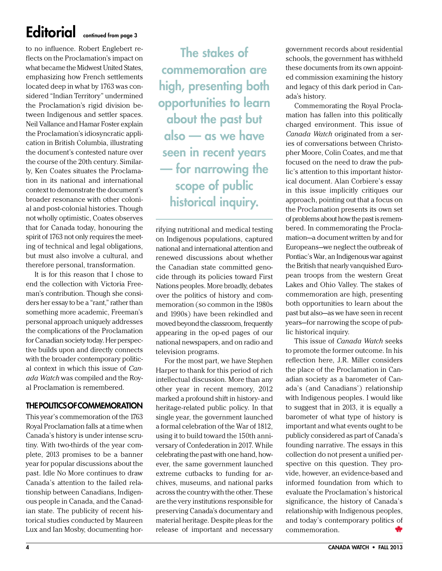### Editorial continued from page 3

to no influence. Robert Englebert reflects on the Proclamation's impact on what became the Midwest United States, emphasizing how French settlements located deep in what by 1763 was considered "Indian Territory" undermined the Proclamation's rigid division between Indigenous and settler spaces. Neil Vallance and Hamar Foster explain the Proclamation's idiosyncratic application in British Columbia, illustrating the document's contested nature over the course of the 20th century. Similarly, Ken Coates situates the Proclamation in its national and international context to demonstrate the document's broader resonance with other colonial and post-colonial histories. Though not wholly optimistic, Coates observes that for Canada today, honouring the spirit of 1763 not only requires the meeting of technical and legal obligations, but must also involve a cultural, and therefore personal, transformation.

It is for this reason that I chose to end the collection with Victoria Freeman's contribution. Though she considers her essay to be a "rant," rather than something more academic, Freeman's personal approach uniquely addresses the complications of the Proclamation for Canadian society today. Her perspective builds upon and directly connects with the broader contemporary political context in which this issue of *Canada Watch* was compiled and the Royal Proclamation is remembered.

### The Politics of Commemoration

This year's commemoration of the 1763 Royal Proclamation falls at a time when Canada's history is under intense scrutiny. With two-thirds of the year complete, 2013 promises to be a banner year for popular discussions about the past. Idle No More continues to draw Canada's attention to the failed relationship between Canadians, Indigenous people in Canada, and the Canadian state. The publicity of recent historical studies conducted by Maureen Lux and Ian Mosby, documenting hor-

The stakes of commemoration are high, presenting both opportunities to learn about the past but also — as we have seen in recent years — for narrowing the scope of public historical inquiry.

rifying nutritional and medical testing on Indigenous populations, captured national and international attention and renewed discussions about whether the Canadian state committed genocide through its policies toward First Nations peoples. More broadly, debates over the politics of history and commemoration (so common in the 1980s and 1990s) have been rekindled and moved beyond the classroom, frequently appearing in the op-ed pages of our national newspapers, and on radio and television programs.

For the most part, we have Stephen Harper to thank for this period of rich intellectual discussion. More than any other year in recent memory, 2012 marked a profound shift in history- and heritage-related public policy. In that single year, the government launched a formal celebration of the War of 1812, using it to build toward the 150th anniversary of Confederation in 2017. While celebrating the past with one hand, however, the same government launched extreme cutbacks to funding for archives, museums, and national parks across the country with the other. These are the very institutions responsible for preserving Canada's documentary and material heritage. Despite pleas for the release of important and necessary

government records about residential schools, the government has withheld these documents from its own appointed commission examining the history and legacy of this dark period in Canada's history.

Commemorating the Royal Proclamation has fallen into this politically charged environment. This issue of *Canada Watch* originated from a series of conversations between Christopher Moore, Colin Coates, and me that focused on the need to draw the public's attention to this important historical document. Alan Corbiere's essay in this issue implicitly critiques our approach, pointing out that a focus on the Proclamation presents its own set of problems about how the past is remembered. In commemorating the Proclamation—a document written by and for Europeans—we neglect the outbreak of Pontiac's War, an Indigenous war against the British that nearly vanquished European troops from the western Great Lakes and Ohio Valley. The stakes of commemoration are high, presenting both opportunities to learn about the past but also—as we have seen in recent years—for narrowing the scope of public historical inquiry.

This issue of *Canada Watch* seeks to promote the former outcome. In his reflection here, J.R. Miller considers the place of the Proclamation in Canadian society as a barometer of Canada's (and Canadians') relationship with Indigenous peoples. I would like to suggest that in 2013, it is equally a barometer of what type of history is important and what events ought to be publicly considered as part of Canada's founding narrative. The essays in this collection do not present a unified perspective on this question. They provide, however, an evidence-based and informed foundation from which to evaluate the Proclamation's historical significance, the history of Canada's relationship with Indigenous peoples, and today's contemporary politics of commemoration.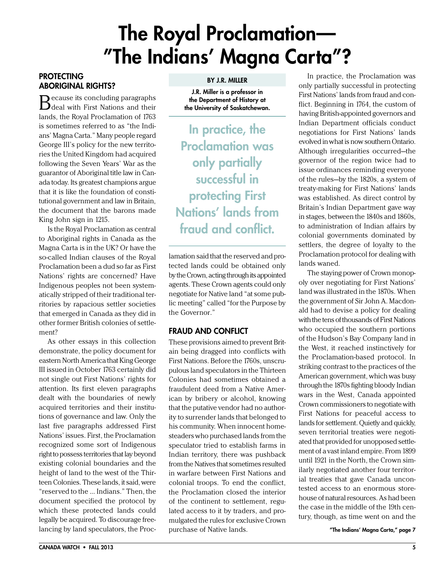## The Royal Proclamation— "The Indians' Magna Carta"?

### <span id="page-4-0"></span>**PROTECTING** Aboriginal Rights?

Because its concluding paragraphs deal with First Nations and their lands, the Royal Proclamation of 1763 is sometimes referred to as "the Indians' Magna Carta." Many people regard George III's policy for the new territories the United Kingdom had acquired following the Seven Years' War as the guarantor of Aboriginal title law in Canada today. Its greatest champions argue that it is like the foundation of constitutional government and law in Britain, the document that the barons made King John sign in 1215.

Is the Royal Proclamation as central to Aboriginal rights in Canada as the Magna Carta is in the UK? Or have the so-called Indian clauses of the Royal Proclamation been a dud so far as First Nations' rights are concerned? Have Indigenous peoples not been systematically stripped of their traditional territories by rapacious settler societies that emerged in Canada as they did in other former British colonies of settlement?

As other essays in this collection demonstrate, the policy document for eastern North America that King George III issued in October 1763 certainly did not single out First Nations' rights for attention. Its first eleven paragraphs dealt with the boundaries of newly acquired territories and their institutions of governance and law. Only the last five paragraphs addressed First Nations' issues. First, the Proclamation recognized some sort of Indigenous right to possess territories that lay beyond existing colonial boundaries and the height of land to the west of the Thirteen Colonies. These lands, it said, were "reserved to the … Indians." Then, the document specified the protocol by which these protected lands could legally be acquired. To discourage freelancing by land speculators, the Proc-

#### By J.R. Miller

J.R. Miller is a professor in the Department of History at the University of Saskatchewan.

In practice, the Proclamation was only partially successful in protecting First Nations' lands from fraud and conflict.

lamation said that the reserved and protected lands could be obtained only by the Crown, acting through its appointed agents. These Crown agents could only negotiate for Native land "at some public meeting" called "for the Purpose by the Governor."

### Fraud and Conflict

These provisions aimed to prevent Britain being dragged into conflicts with First Nations. Before the 1760s, unscrupulous land speculators in the Thirteen Colonies had sometimes obtained a fraudulent deed from a Native American by bribery or alcohol, knowing that the putative vendor had no authority to surrender lands that belonged to his community. When innocent homesteaders who purchased lands from the speculator tried to establish farms in Indian territory, there was pushback from the Natives that sometimes resulted in warfare between First Nations and colonial troops. To end the conflict, the Proclamation closed the interior of the continent to settlement, regulated access to it by traders, and promulgated the rules for exclusive Crown purchase of Native lands.

In practice, the Proclamation was only partially successful in protecting First Nations' lands from fraud and conflict. Beginning in 1764, the custom of having British-appointed governors and Indian Department officials conduct negotiations for First Nations' lands evolved in what is now southern Ontario. Although irregularities occurred—the governor of the region twice had to issue ordinances reminding everyone of the rules—by the 1820s, a system of treaty-making for First Nations' lands was established. As direct control by Britain's Indian Department gave way in stages, between the 1840s and 1860s, to administration of Indian affairs by colonial governments dominated by settlers, the degree of loyalty to the Proclamation protocol for dealing with lands waned.

The staying power of Crown monopoly over negotiating for First Nations' land was illustrated in the 1870s. When the government of Sir John A. Macdonald had to devise a policy for dealing with the tens of thousands of First Nations who occupied the southern portions of the Hudson's Bay Company land in the West, it reached instinctively for the Proclamation-based protocol. In striking contrast to the practices of the American government, which was busy through the 1870s fighting bloody Indian wars in the West, Canada appointed Crown commissioners to negotiate with First Nations for peaceful access to lands for settlement. Quietly and quickly, seven territorial treaties were negotiated that provided for unopposed settlement of a vast inland empire. From 1899 until 1921 in the North, the Crown similarly negotiated another four territorial treaties that gave Canada uncontested access to an enormous storehouse of natural resources. As had been the case in the middle of the 19th century, though, as time went on and the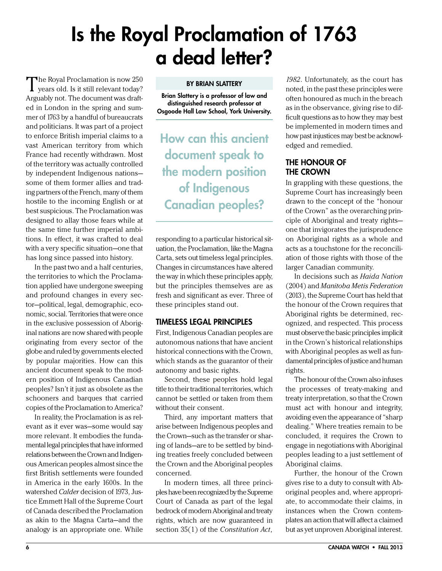## <span id="page-5-0"></span>Is the Royal Proclamation of 1763 a dead letter?

The Royal Proclamation is now 250 years old. Is it still relevant today? Arguably not. The document was drafted in London in the spring and summer of 1763 by a handful of bureaucrats and politicians. It was part of a project to enforce British imperial claims to a vast American territory from which France had recently withdrawn. Most of the territory was actually controlled by independent Indigenous nations some of them former allies and trading partners of the French, many of them hostile to the incoming English or at best suspicious. The Proclamation was designed to allay those fears while at the same time further imperial ambitions. In effect, it was crafted to deal with a very specific situation—one that has long since passed into history.

In the past two and a half centuries, the territories to which the Proclamation applied have undergone sweeping and profound changes in every sector—political, legal, demographic, economic, social. Territories that were once in the exclusive possession of Aboriginal nations are now shared with people originating from every sector of the globe and ruled by governments elected by popular majorities. How can this ancient document speak to the modern position of Indigenous Canadian peoples? Isn't it just as obsolete as the schooners and barques that carried copies of the Proclamation to America?

In reality, the Proclamation is as relevant as it ever was—some would say more relevant. It embodies the fundamental legal principles that have informed relations between the Crown and Indigenous American peoples almost since the first British settlements were founded in America in the early 1600s. In the watershed *Calder* decision of 1973, Justice Emmett Hall of the Supreme Court of Canada described the Proclamation as akin to the Magna Carta—and the analogy is an appropriate one. While

#### **BY BRIAN SLATTERY**

Brian Slattery is a professor of law and distinguished research professor at Osgoode Hall Law School, York University.

How can this ancient document speak to the modern position of Indigenous Canadian peoples?

responding to a particular historical situation, the Proclamation, like the Magna Carta, sets out timeless legal principles. Changes in circumstances have altered the way in which these principles apply, but the principles themselves are as fresh and significant as ever. Three of these principles stand out.

### Timeless Legal Principles

First, Indigenous Canadian peoples are autonomous nations that have ancient historical connections with the Crown, which stands as the guarantor of their autonomy and basic rights.

Second, these peoples hold legal title to their traditional territories, which cannot be settled or taken from them without their consent.

Third, any important matters that arise between Indigenous peoples and the Crown—such as the transfer or sharing of lands—are to be settled by binding treaties freely concluded between the Crown and the Aboriginal peoples concerned.

In modern times, all three principles have been recognized by the Supreme Court of Canada as part of the legal bedrock of modern Aboriginal and treaty rights, which are now guaranteed in section 35(1) of the *Constitution Act,* 

*1982*. Unfortunately, as the court has noted, in the past these principles were often honoured as much in the breach as in the observance, giving rise to difficult questions as to how they may best be implemented in modern times and how past injustices may best be acknowledged and remedied.

### The Honour of the Crown

In grappling with these questions, the Supreme Court has increasingly been drawn to the concept of the "honour of the Crown" as the overarching principle of Aboriginal and treaty rights one that invigorates the jurisprudence on Aboriginal rights as a whole and acts as a touchstone for the reconciliation of those rights with those of the larger Canadian community.

In decisions such as *Haida Nation* (2004) and *Manitoba Metis Federation* (2013), the Supreme Court has held that the honour of the Crown requires that Aboriginal rights be determined, recognized, and respected. This process must observe the basic principles implicit in the Crown's historical relationships with Aboriginal peoples as well as fundamental principles of justice and human rights.

The honour of the Crown also infuses the processes of treaty-making and treaty interpretation, so that the Crown must act with honour and integrity, avoiding even the appearance of "sharp dealing." Where treaties remain to be concluded, it requires the Crown to engage in negotiations with Aboriginal peoples leading to a just settlement of Aboriginal claims.

Further, the honour of the Crown gives rise to a duty to consult with Aboriginal peoples and, where appropriate, to accommodate their claims, in instances when the Crown contemplates an action that will affect a claimed but as yet unproven Aboriginal interest.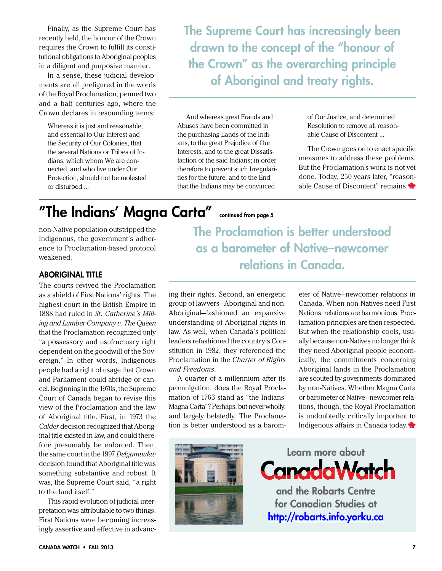Finally, as the Supreme Court has recently held, the honour of the Crown requires the Crown to fulfill its constitutional obligations to Aboriginal peoples in a diligent and purposive manner.

In a sense, these judicial developments are all prefigured in the words of the Royal Proclamation, penned two and a half centuries ago, where the Crown declares in resounding terms:

Whereas it is just and reasonable, and essential to Our Interest and the Security of Our Colonies, that the several Nations or Tribes of Indians, which whom We are connected, and who live under Our Protection, should not be molested or disturbed …

The Supreme Court has increasingly been drawn to the concept of the "honour of the Crown" as the overarching principle of Aboriginal and treaty rights.

And whereas great Frauds and Abuses have been committed in the purchasing Lands of the Indians, to the great Prejudice of Our Interests, and to the great Dissatisfaction of the said Indians; in order therefore to prevent such Irregularities for the future, and to the End that the Indians may be convinced

of Our Justice, and determined Resolution to remove all reasonable Cause of Discontent …

The Crown goes on to enact specific measures to address these problems. But the Proclamation's work is not yet done. Today, 250 years later, "reasonable Cause of Discontent" remains.

### "The Indians' Magna Carta" continued from page 5

non-Native population outstripped the Indigenous, the government's adherence to Proclamation-based protocol weakened.

### Aboriginal Title

The courts revived the Proclamation as a shield of First Nations' rights. The highest court in the British Empire in 1888 had ruled in *St. Catherine's Milling and Lumber Company v. The Queen* that the Proclamation recognized only "a possessory and usufructuary right dependent on the goodwill of the Sovereign." In other words, Indigenous people had a right of usage that Crown and Parliament could abridge or cancel. Beginning in the 1970s, the Supreme Court of Canada began to revise this view of the Proclamation and the law of Aboriginal title. First, in 1973 the *Calder* decision recognized that Aboriginal title existed in law, and could therefore presumably be enforced. Then, the same court in the 1997 *Delgamuukw* decision found that Aboriginal title was something substantive and robust. It was, the Supreme Court said, "a right to the land itself."

This rapid evolution of judicial interpretation was attributable to two things. First Nations were becoming increasingly assertive and effective in advancThe Proclamation is better understood as a barometer of Native–newcomer relations in Canada.

ing their rights. Second, an energetic group of lawyers—Aboriginal and non-Aboriginal—fashioned an expansive understanding of Aboriginal rights in law. As well, when Canada's political leaders refashioned the country's Constitution in 1982, they referenced the Proclamation in the *Charter of Rights and Freedoms*.

A quarter of a millennium after its promulgation, does the Royal Proclamation of 1763 stand as "the Indians' Magna Carta"? Perhaps, but never wholly, and largely belatedly. The Proclamation is better understood as a barometer of Native–newcomer relations in Canada. When non-Natives need First Nations, relations are harmonious. Proclamation principles are then respected. But when the relationship cools, usually because non-Natives no longer think they need Aboriginal people economically, the commitments concerning Aboriginal lands in the Proclamation are scouted by governments dominated by non-Natives. Whether Magna Carta or barometer of Native–newcomer relations, though, the Royal Proclamation is undoubtedly critically important to Indigenous affairs in Canada today.



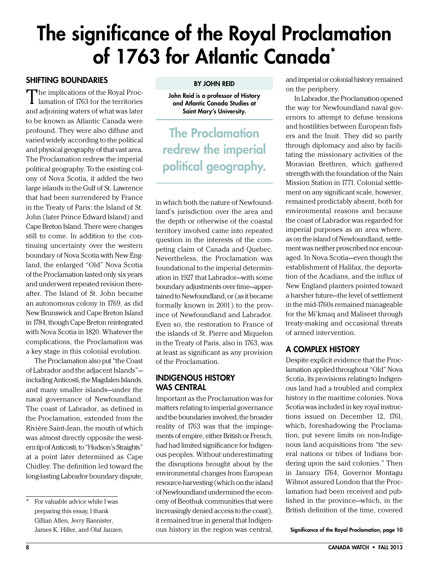## <span id="page-7-0"></span>The significance of the Royal Proclamation of 1763 for Atlantic Canada<sup>\*</sup>

### Shifting Boundaries

The implications of the Royal Proc-<br>
lamation of 1763 for the territories and adjoining waters of what was later to be known as Atlantic Canada were profound. They were also diffuse and varied widely according to the political and physical geography of that vast area. The Proclamation redrew the imperial political geography. To the existing colony of Nova Scotia, it added the two large islands in the Gulf of St. Lawrence that had been surrendered by France in the Treaty of Paris: the Island of St. John (later Prince Edward Island) and Cape Breton Island. There were changes still to come. In addition to the continuing uncertainty over the western boundary of Nova Scotia with New England, the enlarged "Old" Nova Scotia of the Proclamation lasted only six years and underwent repeated revision thereafter. The Island of St. John became an autonomous colony in 1769, as did New Brunswick and Cape Breton Island in 1784, though Cape Breton reintegrated with Nova Scotia in 1820. Whatever the complications, the Proclamation was a key stage in this colonial evolution.

The Proclamation also put "the Coast of Labrador and the adjacent Islands" including Anticosti, the Magdalen Islands, and many smaller islands—under the naval governance of Newfoundland. The coast of Labrador, as defined in the Proclamation, extended from the Rivière Saint-Jean, the mouth of which was almost directly opposite the western tip of Anticosti, to "Hudson's Straights" at a point later determined as Cape Chidley. The definition led toward the long-lasting Labrador boundary dispute,

### By John Reid

John Reid is a professor of History and Atlantic Canada Studies at Saint Mary's University.

The Proclamation redrew the imperial political geography.

in which both the nature of Newfoundland's jurisdiction over the area and the depth or otherwise of the coastal territory involved came into repeated question in the interests of the competing claim of Canada and Quebec. Nevertheless, the Proclamation was foundational to the imperial determination in 1927 that Labrador—with some boundary adjustments over time—appertained to Newfoundland, or (as it became formally known in 2001) to the province of Newfoundland and Labrador. Even so, the restoration to France of the islands of St. Pierre and Miquelon in the Treaty of Paris, also in 1763, was at least as significant as any provision of the Proclamation.

### Indigenous History WAS CENTRAL

Important as the Proclamation was for matters relating to imperial governance and the boundaries involved, the broader reality of 1763 was that the impingements of empire, either British or French, had had limited significance for Indigenous peoples. Without underestimating the disruptions brought about by the environmental changes from European resource-harvesting (which on the island of Newfoundland undermined the economy of Beothuk communities that were increasingly denied access to the coast), it remained true in general that Indigenous history in the region was central, and imperial or colonial history remained on the periphery.

In Labrador, the Proclamation opened the way for Newfoundland naval governors to attempt to defuse tensions and hostilities between European fishers and the Inuit. They did so partly through diplomacy and also by facilitating the missionary activities of the Moravian Brethren, which gathered strength with the foundation of the Nain Mission Station in 1771. Colonial settlement on any significant scale, however, remained predictably absent, both for environmental reasons and because the coast of Labrador was regarded for imperial purposes as an area where, as on the island of Newfoundland, settlement was neither proscribed nor encouraged. In Nova Scotia—even though the establishment of Halifax, the deportation of the Acadians, and the influx of New England planters pointed toward a harsher future—the level of settlement in the mid-1760s remained manageable for the Mi'kmaq and Maliseet through treaty-making and occasional threats of armed intervention.

### A Complex History

Despite explicit evidence that the Proclamation applied throughout "Old" Nova Scotia, its provisions relating to Indigenous land had a troubled and complex history in the maritime colonies. Nova Scotia was included in key royal instructions issued on December 12, 1761, which, foreshadowing the Proclamation, put severe limits on non-Indigenous land acquisitions from "the several nations or tribes of Indians bordering upon the said colonies." Then in January 1764, Governor Montagu Wilmot assured London that the Proclamation had been received and published in the province—which, in the British definition of the time, covered

Significance of the Royal Proclamation, page 10

<sup>\*</sup> For valuable advice while I was preparing this essay, I thank Gillian Allen, Jerry Bannister, James K. Hiller, and Olaf Janzen.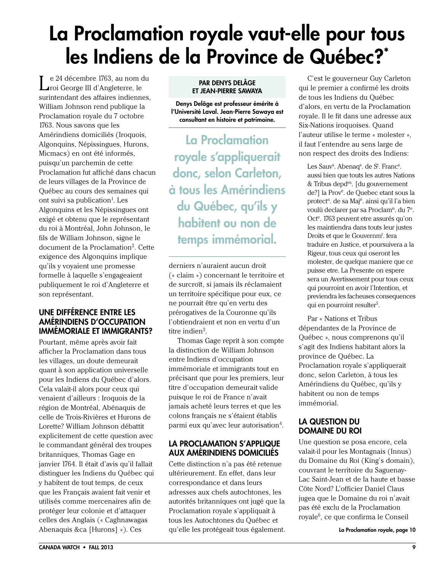## <span id="page-8-0"></span>La Proclamation royale vaut-elle pour tous les Indiens de la Province de Québec?\*

Le 24 décembre 1763, au nom du roi George III d'Angleterre, le surintendant des affaires indiennes, William Johnson rend publique la Proclamation royale du 7 octobre 1763. Nous savons que les Amérindiens domiciliés (Iroquois, Algonquins, Népissingues, Hurons, Micmacs) en ont été informés, puisqu'un parchemin de cette Proclamation fut affiché dans chacun de leurs villages de la Province de Québec au cours des semaines qui ont suivi sa publication<sup>1</sup>. Les Algonquins et les Népissingues ont exigé et obtenu que le représentant du roi à Montréal, John Johnson, le fils de William Johnson, signe le document de la Proclamation<sup>2</sup>. Cette exigence des Algonquins implique qu'ils y voyaient une promesse formelle à laquelle s'engageaient publiquement le roi d'Angleterre et son représentant.

### Une différence entre les amérindiens d'occupation immémoriale et immigrants?

Pourtant, même après avoir fait afficher la Proclamation dans tous les villages, un doute demeurait quant à son application universelle pour les Indiens du Québec d'alors. Cela valait-il alors pour ceux qui venaient d'ailleurs : Iroquois de la région de Montréal, Abénaquis de celle de Trois-Rivières et Hurons de Lorette? William Johnson débattit explicitement de cette question avec le commandant général des troupes britanniques, Thomas Gage en janvier 1764. Il était d'avis qu'il fallait distinguer les Indiens du Québec qui y habitent de tout temps, de ceux que les Français avaient fait venir et utilisés comme mercenaires afin de protéger leur colonie et d'attaquer celles des Anglais (« Caghnawagas Abenaquis &ca [Hurons] »). Ces

#### Par Denys Delâge et Jean-Pierre Sawaya

Denys Delâge est professeur émérite à l'Université Laval. Jean-Pierre Sawaya est consultant en histoire et patrimoine.

La Proclamation royale s'appliquerait donc, selon Carleton, à tous les Amérindiens du Québec, qu'ils y habitent ou non de temps immémorial.

derniers n'auraient aucun droit (« claim ») concernant le territoire et de surcroît, si jamais ils réclamaient un territoire spécifique pour eux, ce ne pourrait être qu'en vertu des prérogatives de la Couronne qu'ils l'obtiendraient et non en vertu d'un titre indien $^3$ .

Thomas Gage reprit à son compte la distinction de William Johnson entre Indiens d'occupation immémoriale et immigrants tout en précisant que pour les premiers, leur titre d'occupation demeurait valide puisque le roi de France n'avait jamais acheté leurs terres et que les colons français ne s'étaient établis parmi eux qu'avec leur autorisation $4$ .

### La proclamation s'applique aux amérindiens domiciliés

Cette distinction n'a pas été retenue ultérieurement. En effet, dans leur correspondance et dans leurs adresses aux chefs autochtones, les autorités britanniques ont jugé que la Proclamation royale s'appliquait à tous les Autochtones du Québec et qu'elle les protégeait tous également.

C'est le gouverneur Guy Carleton qui le premier a confirmé les droits de tous les Indiens du Québec d'alors, en vertu de la Proclamation royale. Il le fit dans une adresse aux Six-Nations iroquoises. Quand l'auteur utilise le terme « molester », il faut l'entendre au sens large de non respect des droits des Indiens:

Les Sauv<sup>s</sup>. Abenaq<sup>s</sup>. de S<sup>t</sup>. Franc<sup>s</sup>. aussi bien que touts les autres Nations & Tribus depdes. [du gouvernement de?] la Prov<sup>e</sup>. de Quebec etant sous la protect<sup>n</sup>. de sa Maj<sup>é</sup>. ainsi qu'il l'a bien voulû declarer par sa Proclam<sup>n</sup>. du 7<sup>e</sup>. Oct<sup>e</sup>. 1763 peuvent etre assurés qu'on les maintiendra dans touts leur justes Droits et que le Gouvernm<sup>t</sup>. fera traduire en Justice, et poursuivera a la Rigeur, tous ceux qui oseront les molester, de quelque maniere que ce puisse etre. La Presente on espere sera un Avertissement pour tous ceux qui pourroint en avoir l'Intention, et previendra les facheuses consequences qui en pourroint resulter<sup>5</sup>.

Par « Nations et Tribus dépendantes de la Province de Québec », nous comprenons qu'il s'agit des Indiens habitant alors la province de Québec. La Proclamation royale s'appliquerait donc, selon Carleton, à tous les Amérindiens du Québec, qu'ils y habitent ou non de temps immémorial.

### La question du domaine du roi

Une question se posa encore, cela valait-il pour les Montagnais (Innus) du Domaine du Roi (King's domain), couvrant le territoire du Saguenay-Lac Saint-Jean et de la haute et basse Côte Nord? L'officier Daniel Claus jugea que le Domaine du roi n'avait pas été exclu de la Proclamation royale<sup>6</sup>, ce que confirma le Conseil

La Proclamation royale, page 10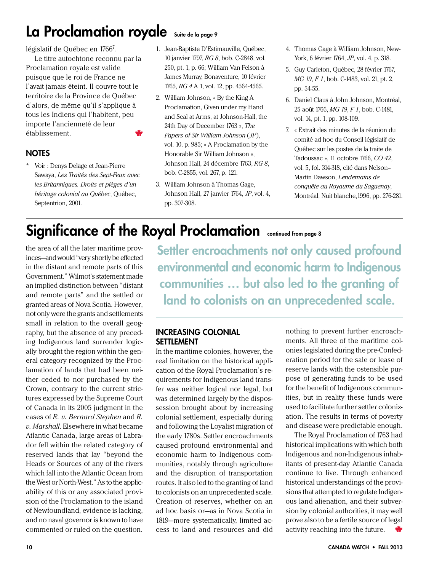### La Proclamation royale Suite de la page 9

législatif de Québec en 1766<sup>7</sup>.

Le titre autochtone reconnu par la Proclamation royale est valide puisque que le roi de France ne l'avait jamais éteint. Il couvre tout le territoire de la Province de Québec d'alors, de même qu'il s'applique à tous les Indiens qui l'habitent, peu importe l'ancienneté de leur établissement.

### **NOTES**

\* Voir : Denys Delâge et Jean-Pierre Sawaya, *Les Traités des Sept-Feux avec les Britanniques. Droits et pièges d'un héritage colonial au Québec*, Québec, Septentrion, 2001.

### 1. Jean-Baptiste D'Estimauville, Québec, 10 janvier 1797, *RG 8*, bob. C-2848, vol. 250, pt. 1, p. 66; William Van Felson à James Murray, Bonaventure, 10 février 1765, *RG 4* A 1, vol. 12, pp. 4564-4565.

- 2. William Johnson, « By the King A Proclamation, Given under my Hand and Seal at Arms, at Johnson-Hall, the 24th Day of December 1763 », *The Papers of Sir William Johnson* (*JP*), vol. 10, p. 985; « A Proclamation by the Honorable Sir William Johnson », Johnson Hall, 24 décembre 1763, *RG 8*, bob. C-2855, vol. 267, p. 121.
- 3. William Johnson à Thomas Gage, Johnson Hall, 27 janvier 1764, *JP*, vol. 4, pp. 307-308.
- 4. Thomas Gage à William Johnson, New-York, 6 février 1764, *JP*, vol. 4, p. 318.
- 5. Guy Carleton, Québec, 28 février 1767, *MG 19*, *F 1*, bob. C-1483, vol. 21, pt. 2, pp. 54-55.
- 6. Daniel Claus à John Johnson, Montréal, 25 août 1766, *MG 19*, *F 1*, bob. C-1481, vol. 14, pt. 1, pp. 108-109.
- 7. « Extrait des minutes de la réunion du comité ad hoc du Conseil législatif de Québec sur les postes de la traite de Tadoussac », 11 octobre 1766, *CO 42*, vol. 5, fol. 314-318, cité dans Nelson– Martin Dawson, *Lendemains de conquête au Royaume du Saguenay*, Montréal, Nuit blanche,1996, pp. 276-281.

### Significance of the Royal Proclamation continued from page 8

the area of all the later maritime provinces—and would "very shortly be effected in the distant and remote parts of this Government." Wilmot's statement made an implied distinction between "distant and remote parts" and the settled or granted areas of Nova Scotia. However, not only were the grants and settlements small in relation to the overall geography, but the absence of any preceding Indigenous land surrender logically brought the region within the general category recognized by the Proclamation of lands that had been neither ceded to nor purchased by the Crown, contrary to the current strictures expressed by the Supreme Court of Canada in its 2005 judgment in the cases of *R. v. Bernard Stephen* and *R. v. Marshall*. Elsewhere in what became Atlantic Canada, large areas of Labrador fell within the related category of reserved lands that lay "beyond the Heads or Sources of any of the rivers which fall into the Atlantic Ocean from the West or North-West." As to the applicability of this or any associated provision of the Proclamation to the island of Newfoundland, evidence is lacking, and no naval governor is known to have commented or ruled on the question.

Settler encroachments not only caused profound environmental and economic harm to Indigenous communities … but also led to the granting of land to colonists on an unprecedented scale.

### Increasing Colonial **SETTLEMENT**

In the maritime colonies, however, the real limitation on the historical application of the Royal Proclamation's requirements for Indigenous land transfer was neither logical nor legal, but was determined largely by the dispossession brought about by increasing colonial settlement, especially during and following the Loyalist migration of the early 1780s. Settler encroachments caused profound environmental and economic harm to Indigenous communities, notably through agriculture and the disruption of transportation routes. It also led to the granting of land to colonists on an unprecedented scale. Creation of reserves, whether on an ad hoc basis or—as in Nova Scotia in 1819—more systematically, limited access to land and resources and did

nothing to prevent further encroachments. All three of the maritime colonies legislated during the pre-Confederation period for the sale or lease of reserve lands with the ostensible purpose of generating funds to be used for the benefit of Indigenous communities, but in reality these funds were used to facilitate further settler colonization. The results in terms of poverty and disease were predictable enough.

The Royal Proclamation of 1763 had historical implications with which both Indigenous and non-Indigenous inhabitants of present-day Atlantic Canada continue to live. Through enhanced historical understandings of the provisions that attempted to regulate Indigenous land alienation, and their subversion by colonial authorities, it may well prove also to be a fertile source of legal activity reaching into the future.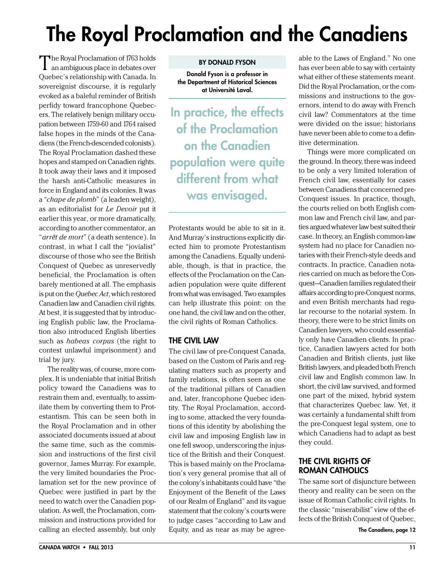# <span id="page-10-0"></span>The Royal Proclamation and the Canadiens

The Royal Proclamation of 1763 holds an ambiguous place in debates over Quebec's relationship with Canada. In sovereignist discourse, it is regularly evoked as a baleful reminder of British perfidy toward francophone Quebecers. The relatively benign military occupation between 1759-60 and 1764 raised false hopes in the minds of the Canadiens (the French-descended colonists). The Royal Proclamation dashed these hopes and stamped on Canadien rights. It took away their laws and it imposed the harsh anti-Catholic measures in force in England and its colonies. It was a "*chape de plomb*" (a leaden weight), as an editorialist for *Le Devoir* put it earlier this year, or more dramatically, according to another commentator, an "*arrêt de mort*" (a death sentence). In contrast, in what I call the "jovialist" discourse of those who see the British Conquest of Quebec as unreservedly beneficial, the Proclamation is often barely mentioned at all. The emphasis is put on the *Quebec Act*, which restored Canadien law and Canadien civil rights. At best, it is suggested that by introducing English public law, the Proclamation also introduced English liberties such as *habeas corpus* (the right to contest unlawful imprisonment) and trial by jury.

The reality was, of course, more complex. It is undeniable that initial British policy toward the Canadiens was to restrain them and, eventually, to assimilate them by converting them to Protestantism. This can be seen both in the Royal Proclamation and in other associated documents issued at about the same time, such as the commission and instructions of the first civil governor, James Murray. For example, the very limited boundaries the Proclamation set for the new province of Quebec were justified in part by the need to watch over the Canadien population. As well, the Proclamation, commission and instructions provided for calling an elected assembly, but only

#### By Donald Fyson

Donald Fyson is a professor in the Department of Historical Sciences at Université Laval.

In practice, the effects of the Proclamation on the Canadien population were quite different from what was envisaged.

Protestants would be able to sit in it. And Murray's instructions explicitly directed him to promote Protestantism among the Canadiens. Equally undeniable, though, is that in practice, the effects of the Proclamation on the Canadien population were quite different from what was envisaged. Two examples can help illustrate this point: on the one hand, the civil law and on the other, the civil rights of Roman Catholics.

### The Civil Law

The civil law of pre-Conquest Canada, based on the Custom of Paris and regulating matters such as property and family relations, is often seen as one of the traditional pillars of Canadien and, later, francophone Quebec identity. The Royal Proclamation, according to some, attacked the very foundations of this identity by abolishing the civil law and imposing English law in one fell swoop, underscoring the injustice of the British and their Conquest. This is based mainly on the Proclamation's very general promise that all of the colony's inhabitants could have "the Enjoyment of the Benefit of the Laws of our Realm of England" and its vague statement that the colony's courts were to judge cases "according to Law and Equity, and as near as may be agree-

able to the Laws of England." No one has ever been able to say with certainty what either of these statements meant. Did the Royal Proclamation, or the commissions and instructions to the governors, intend to do away with French civil law? Commentators at the time were divided on the issue; historians have never been able to come to a definitive determination.

Things were more complicated on the ground. In theory, there was indeed to be only a very limited toleration of French civil law, essentially for cases between Canadiens that concerned pre-Conquest issues. In practice, though, the courts relied on both English common law and French civil law, and parties argued whatever law best suited their case. In theory, an English common-law system had no place for Canadien notaries with their French-style deeds and contracts. In practice, Canadien notaries carried on much as before the Conquest—Canadien families regulated their affairs according to pre-Conquest norms, and even British merchants had regular recourse to the notarial system. In theory, there were to be strict limits on Canadien lawyers, who could essentially only have Canadien clients. In practice, Canadien lawyers acted for both Canadien and British clients, just like British lawyers, and pleaded both French civil law and English common law. In short, the civil law survived, and formed one part of the mixed, hybrid system that characterizes Quebec law. Yet, it was certainly a fundamental shift from the pre-Conquest legal system, one to which Canadiens had to adapt as best they could.

### The Civil Rights of Roman Catholics

The same sort of disjuncture between theory and reality can be seen on the issue of Roman Catholic civil rights. In the classic "miserabilist" view of the effects of the British Conquest of Quebec,

The Canadiens, page 12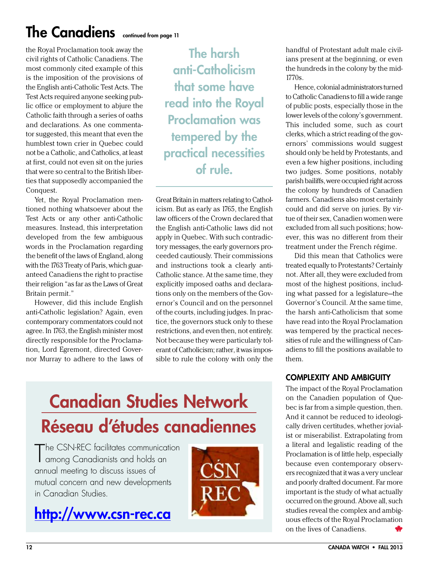## The Canadiens continued from page 11

the Royal Proclamation took away the civil rights of Catholic Canadiens. The most commonly cited example of this is the imposition of the provisions of the English anti-Catholic Test Acts. The Test Acts required anyone seeking public office or employment to abjure the Catholic faith through a series of oaths and declarations. As one commentator suggested, this meant that even the humblest town crier in Quebec could not be a Catholic, and Catholics, at least at first, could not even sit on the juries that were so central to the British liberties that supposedly accompanied the Conquest.

Yet, the Royal Proclamation mentioned nothing whatsoever about the Test Acts or any other anti-Catholic measures. Instead, this interpretation developed from the few ambiguous words in the Proclamation regarding the benefit of the laws of England, along with the 1763 Treaty of Paris, which guaranteed Canadiens the right to practise their religion "as far as the Laws of Great Britain permit."

However, did this include English anti-Catholic legislation? Again, even contemporary commentators could not agree. In 1763, the English minister most directly responsible for the Proclamation, Lord Egremont, directed Governor Murray to adhere to the laws of

The harsh anti-Catholicism that some have read into the Royal Proclamation was tempered by the practical necessities of rule.

Great Britain in matters relating to Catholicism. But as early as 1765, the English law officers of the Crown declared that the English anti-Catholic laws did not apply in Quebec. With such contradictory messages, the early governors proceeded cautiously. Their commissions and instructions took a clearly anti-Catholic stance. At the same time, they explicitly imposed oaths and declarations only on the members of the Governor's Council and on the personnel of the courts, including judges. In practice, the governors stuck only to these restrictions, and even then, not entirely. Not because they were particularly tolerant of Catholicism; rather, it was impossible to rule the colony with only the

## Canadian Studies Network Réseau d'études canadiennes

The CSN-REC facilitates communicat<br>among Canadianists and holds an The CSN-REC facilitates communication annual meeting to discuss issues of mutual concern and new developments in Canadian Studies.

## [http://www.csn-rec.ca](http://www.csn-rec.ca/)



handful of Protestant adult male civilians present at the beginning, or even the hundreds in the colony by the mid-1770s.

Hence, colonial administrators turned to Catholic Canadiens to fill a wide range of public posts, especially those in the lower levels of the colony's government. This included some, such as court clerks, which a strict reading of the governors' commissions would suggest should only be held by Protestants, and even a few higher positions, including two judges. Some positions, notably parish bailiffs, were occupied right across the colony by hundreds of Canadien farmers. Canadiens also most certainly could and did serve on juries. By virtue of their sex, Canadien women were excluded from all such positions; however, this was no different from their treatment under the French régime.

Did this mean that Catholics were treated equally to Protestants? Certainly not. After all, they were excluded from most of the highest positions, including what passed for a legislature—the Governor's Council. At the same time, the harsh anti-Catholicism that some have read into the Royal Proclamation was tempered by the practical necessities of rule and the willingness of Canadiens to fill the positions available to them.

### Complexity and Ambiguity

The impact of the Royal Proclamation on the Canadien population of Quebec is far from a simple question, then. And it cannot be reduced to ideologically driven certitudes, whether jovialist or miserabilist. Extrapolating from a literal and legalistic reading of the Proclamation is of little help, especially because even contemporary observers recognized that it was a very unclear and poorly drafted document. Far more important is the study of what actually occurred on the ground. Above all, such studies reveal the complex and ambiguous effects of the Royal Proclamation on the lives of Canadiens.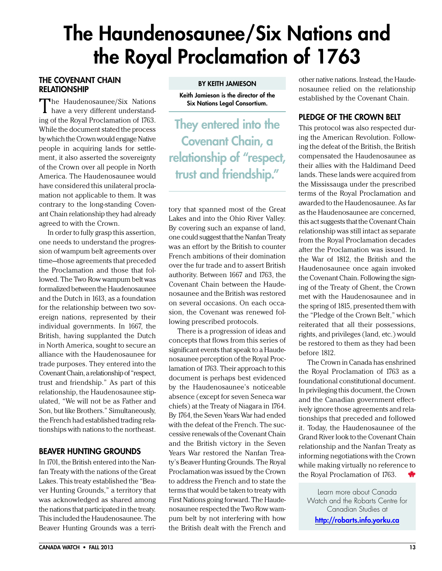## <span id="page-12-0"></span>The Haundenosaunee/Six Nations and the Royal Proclamation of 1763

### The Covenant Chain **RELATIONSHIP**

The Haudenosaunee/Six Nations have a very different understanding of the Royal Proclamation of 1763. While the document stated the process by which the Crown would engage Native people in acquiring lands for settlement, it also asserted the sovereignty of the Crown over all people in North America. The Haudenosaunee would have considered this unilateral proclamation not applicable to them. It was contrary to the long-standing Covenant Chain relationship they had already agreed to with the Crown.

In order to fully grasp this assertion, one needs to understand the progression of wampum belt agreements over time—those agreements that preceded the Proclamation and those that followed. The Two Row wampum belt was formalized between the Haudenosaunee and the Dutch in 1613, as a foundation for the relationship between two sovereign nations, represented by their individual governments. In 1667, the British, having supplanted the Dutch in North America, sought to secure an alliance with the Haudenosaunee for trade purposes. They entered into the Covenant Chain, a relationship of "respect, trust and friendship." As part of this relationship, the Haudenosaunee stipulated, "We will not be as Father and Son, but like Brothers." Simultaneously, the French had established trading relationships with nations to the northeast.

### Beaver Hunting Grounds

In 1701, the British entered into the Nanfan Treaty with the nations of the Great Lakes. This treaty established the "Beaver Hunting Grounds," a territory that was acknowledged as shared among the nations that participated in the treaty. This included the Haudenosaunee. The Beaver Hunting Grounds was a terriBy Keith Jamieson

Keith Jamieson is the director of the Six Nations Legal Consortium.

They entered into the Covenant Chain, a relationship of "respect, trust and friendship."

tory that spanned most of the Great Lakes and into the Ohio River Valley. By covering such an expanse of land, one could suggest that the Nanfan Treaty was an effort by the British to counter French ambitions of their domination over the fur trade and to assert British authority. Between 1667 and 1763, the Covenant Chain between the Haudenosaunee and the British was restored on several occasions. On each occasion, the Covenant was renewed following prescribed protocols.

There is a progression of ideas and concepts that flows from this series of significant events that speak to a Haudenosaunee perception of the Royal Proclamation of 1763. Their approach to this document is perhaps best evidenced by the Haudenosaunee's noticeable absence (except for seven Seneca war chiefs) at the Treaty of Niagara in 1764. By 1764, the Seven Years War had ended with the defeat of the French. The successive renewals of the Covenant Chain and the British victory in the Seven Years War restored the Nanfan Treaty's Beaver Hunting Grounds. The Royal Proclamation was issued by the Crown to address the French and to state the terms that would be taken to treaty with First Nations going forward. The Haudenosaunee respected the Two Row wampum belt by not interfering with how the British dealt with the French and

other native nations. Instead, the Haudenosaunee relied on the relationship established by the Covenant Chain.

### Pledge of the Crown Belt

This protocol was also respected during the American Revolution. Following the defeat of the British, the British compensated the Haudenosaunee as their allies with the Haldimand Deed lands. These lands were acquired from the Mississauga under the prescribed terms of the Royal Proclamation and awarded to the Haudenosaunee. As far as the Haudenosaunee are concerned, this act suggests that the Covenant Chain relationship was still intact as separate from the Royal Proclamation decades after the Proclamation was issued. In the War of 1812, the British and the Haudenosaunee once again invoked the Covenant Chain. Following the signing of the Treaty of Ghent, the Crown met with the Haudenosaunee and in the spring of 1815, presented them with the "Pledge of the Crown Belt," which reiterated that all their possessions, rights, and privileges (land, etc.) would be restored to them as they had been before 1812.

The Crown in Canada has enshrined the Royal Proclamation of 1763 as a foundational constitutional document. In privileging this document, the Crown and the Canadian government effectively ignore those agreements and relationships that preceded and followed it. Today, the Haudenosaunee of the Grand River look to the Covenant Chain relationship and the Nanfan Treaty as informing negotiations with the Crown while making virtually no reference to the Royal Proclamation of 1763.

Learn more about Canada Watch and the Robarts Centre for Canadian Studies at <http://robarts.info.yorku.ca>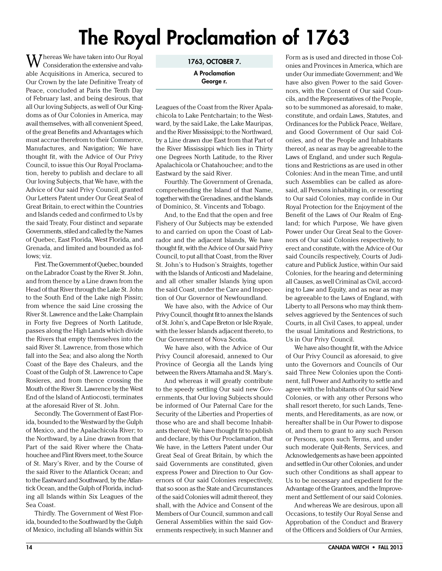# The Royal Proclamation of 1763

<span id="page-13-0"></span> $\rm W$  hereas We have taken into Our Royal Consideration the extensive and valuable Acquisitions in America, secured to Our Crown by the late Definitive Treaty of Peace, concluded at Paris the Tenth Day of February last, and being desirous, that all Our loving Subjects, as well of Our Kingdoms as of Our Colonies in America, may avail themselves, with all convenient Speed, of the great Benefits and Advantages which must accrue therefrom to their Commerce, Manufactures, and Navigation; We have thought fit, with the Advice of Our Privy Council, to issue this Our Royal Proclamation, hereby to publish and declare to all Our loving Subjects, that We have, with the Advice of Our said Privy Council, granted Our Letters Patent under Our Great Seal of Great Britain, to erect within the Countries and Islands ceded and confirmed to Us by the said Treaty, Four distinct and separate Governments, stiled and called by the Names of Quebec, East Florida, West Florida, and Grenada, and limited and bounded as follows; viz.

First. The Government of Quebec, bounded on the Labrador Coast by the River St. John, and from thence by a Line drawn from the Head of that River through the Lake St. John to the South End of the Lake nigh Pissin; from whence the said Line crossing the River St. Lawrence and the Lake Champlain in Forty five Degrees of North Latitude, passes along the High Lands which divide the Rivers that empty themselves into the said River St. Lawrence, from those which fall into the Sea; and also along the North Coast of the Baye des Chaleurs, and the Coast of the Gulph of St. Lawrence to Cape Rosieres, and from thence crossing the Mouth of the River St. Lawrence by the West End of the Island of Antiocosti, terminates at the aforesaid River of St. John.

Secondly. The Government of East Florida, bounded to the Westward by the Gulph of Mexico, and the Apalachicola River; to the Northward, by a Line drawn from that Part of the said River where the Chatahouchee and Flint Rivers meet, to the Source of St. Mary's River, and by the Course of the said River to the Atlantick Ocean; and to the Eastward and Southward, by the Atlantick Ocean, and the Gulph of Florida, including all Islands within Six Leagues of the Sea Coast.

Thirdly. The Government of West Florida, bounded to the Southward by the Gulph of Mexico, including all Islands within Six 1763, OCTOBER 7.

A Proclamation George r.

Leagues of the Coast from the River Apalachicola to Lake Pentchartain; to the Westward, by the said Lake, the Lake Mauripas, and the River Mississippi; to the Northward, by a Line drawn due East from that Part of the River Mississippi which lies in Thirty one Degrees North Latitude, to the River Apalachicola or Chatahouchee; and to the Eastward by the said River.

Fourthly. The Government of Grenada, comprehending the Island of that Name, together with the Grenadines, and the Islands of Dominico, St. Vincents and Tobago.

And, to the End that the open and free Fishery of Our Subjects may be extended to and carried on upon the Coast of Labrador and the adjacent Islands, We have thought fit, with the Advice of Our said Privy Council, to put all that Coast, from the River St. John's to Hudson's Straights, together with the Islands of Anticosti and Madelaine, and all other smaller Islands lying upon the said Coast, under the Care and Inspection of Our Governor of Newfoundland.

We have also, with the Advice of Our Privy Council, thought fit to annex the Islands of St. John's, and Cape Breton or Isle Royale, with the lesser Islands adjacent thereto, to Our Government of Nova Scotia.

We have also, with the Advice of Our Privy Council aforesaid, annexed to Our Province of Georgia all the Lands lying between the Rivers Attamaha and St. Mary's.

And whereas it will greatly contribute to the speedy settling Our said new Governments, that Our loving Subjects should be informed of Our Paternal Care for the Security of the Liberties and Properties of those who are and shall become Inhabitants thereof; We have thought fit to publish and declare, by this Our Proclamation, that We have, in the Letters Patent under Our Great Seal of Great Britain, by which the said Governments are constituted, given express Power and Direction to Our Governors of Our said Colonies respectively, that so soon as the State and Circumstances of the said Colonies will admit thereof, they shall, with the Advice and Consent of the Members of Our Council, summon and call General Assemblies within the said Governments respectively, in such Manner and

Form as is used and directed in those Colonies and Provinces in America, which are under Our immediate Government; and We have also given Power to the said Governors, with the Consent of Our said Councils, and the Representatives of the People, so to be summoned as aforesaid, to make, constitute, and ordain Laws, Statutes, and Ordinances for the Publick Peace, Welfare, and Good Government of Our said Colonies, and of the People and Inhabitants thereof, as near as may be agreeable to the Laws of England, and under such Regulations and Restrictions as are used in other Colonies: And in the mean Time, and until such Assemblies can be called as aforesaid, all Persons inhabiting in, or resorting to Our said Colonies, may confide in Our Royal Protection for the Enjoyment of the Benefit of the Laws of Our Realm of England; for which Purpose, We have given Power under Our Great Seal to the Governors of Our said Colonies respectively, to erect and constitute, with the Advice of Our said Councils respectively, Courts of Judicature and Publick Justice, within Our said Colonies, for the hearing and determining all Causes, as well Criminal as Civil, according to Law and Equity, and as near as may be agreeable to the Laws of England, with Liberty to all Persons who may think themselves aggrieved by the Sentences of such Courts, in all Civil Cases, to appeal, under the usual Limitations and Restrictions, to Us in Our Privy Council.

We have also thought fit, with the Advice of Our Privy Council as aforesaid, to give unto the Governors and Councils of Our said Three New Colonies upon the Continent, full Power and Authority to settle and agree with the Inhabitants of Our said New Colonies, or with any other Persons who shall resort thereto, for such Lands, Tenements, and Hereditaments, as are now, or hereafter shall be in Our Power to dispose of, and them to grant to any such Person or Persons, upon such Terms, and under such moderate Quit-Rents, Services, and Acknowledgements as have been appointed and settled in Our other Colonies, and under such other Conditions as shall appear to Us to be necessary and expedient for the Advantage of the Grantees, and the Improvement and Settlement of our said Colonies.

And whereas We are desirous, upon all Occasions, to testify Our Royal Sense and Approbation of the Conduct and Bravery of the Officers and Soldiers of Our Armies,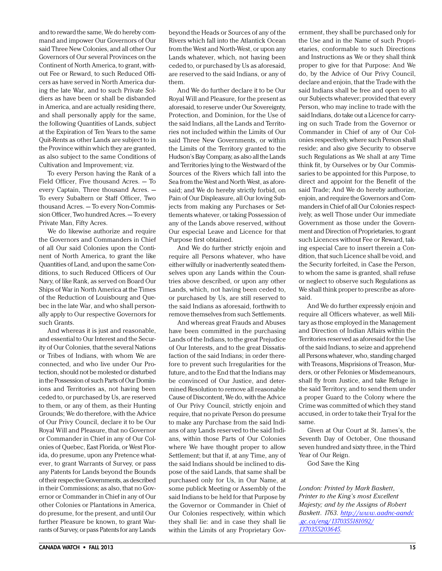and to reward the same, We do hereby command and impower Our Governors of Our said Three New Colonies, and all other Our Governors of Our several Provinces on the Continent of North America, to grant, without Fee or Reward, to such Reduced Officers as have served in North America during the late War, and to such Private Soldiers as have been or shall be disbanded in America, and are actually residing there, and shall personally apply for the same, the following Quantities of Lands, subject at the Expiration of Ten Years to the same Quit-Rents as other Lands are subject to in the Province within which they are granted, as also subject to the same Conditions of Cultivation and Improvement; viz.

To every Person having the Rank of a Field Officer, Five thousand Acres. — To every Captain, Three thousand Acres. — To every Subaltern or Staff Officer, Two thousand Acres. — To every Non-Commission Officer, Two hundred Acres. — To every Private Man, Fifty Acres.

We do likewise authorize and require the Governors and Commanders in Chief of all Our said Colonies upon the Continent of North America, to grant the like Quantities of Land, and upon the same Conditions, to such Reduced Officers of Our Navy, of like Rank, as served on Board Our Ships of War in North America at the Times of the Reduction of Louisbourg and Quebec in the late War, and who shall personally apply to Our respective Governors for such Grants.

And whereas it is just and reasonable, and essential to Our Interest and the Security of Our Colonies, that the several Nations or Tribes of Indians, with whom We are connected, and who live under Our Protection, should not be molested or disturbed in the Possession of such Parts of Our Dominions and Territories as, not having been ceded to, or purchased by Us, are reserved to them, or any of them, as their Hunting Grounds; We do therefore, with the Advice of Our Privy Council, declare it to be Our Royal Will and Pleasure, that no Governor or Commander in Chief in any of Our Colonies of Quebec, East Florida, or West Florida, do presume, upon any Pretence whatever, to grant Warrants of Survey, or pass any Patents for Lands beyond the Bounds of their respective Governments, as described in their Commissions; as also, that no Governor or Commander in Chief in any of Our other Colonies or Plantations in America, do presume, for the present, and until Our further Pleasure be known, to grant Warrants of Survey, or pass Patents for any Lands

And We do further declare it to be Our Royal Will and Pleasure, for the present as aforesaid, to reserve under Our Sovereignty, Protection, and Dominion, for the Use of the said Indians, all the Lands and Territories not included within the Limits of Our said Three New Governments, or within the Limits of the Territory granted to the Hudson's Bay Company, as also all the Lands and Territories lying to the Westward of the Sources of the Rivers which fall into the Sea from the West and North West, as aforesaid; and We do hereby strictly forbid, on Pain of Our Displeasure, all Our loving Subjects from making any Purchases or Settlements whatever, or taking Possession of any of the Lands above reserved, without Our especial Leave and Licence for that Purpose first obtained.

And We do further strictly enjoin and require all Persons whatever, who have either wilfully or inadvertently seated themselves upon any Lands within the Countries above described, or upon any other Lands, which, not having been ceded to, or purchased by Us, are still reserved to the said Indians as aforesaid, forthwith to remove themselves from such Settlements.

And whereas great Frauds and Abuses have been committed in the purchasing Lands of the Indians, to the great Prejudice of Our Interests, and to the great Dissatisfaction of the said Indians; in order therefore to prevent such Irregularities for the future, and to the End that the Indians may be convinced of Our Justice, and determined Resolution to remove all reasonable Cause of Discontent, We do, with the Advice of Our Privy Council, strictly enjoin and require, that no private Person do presume to make any Purchase from the said Indians of any Lands reserved to the said Indians, within those Parts of Our Colonies where We have thought proper to allow Settlement; but that if, at any Time, any of the said Indians should be inclined to dispose of the said Lands, that same shall be purchased only for Us, in Our Name, at some publick Meeting or Assembly of the said Indians to be held for that Purpose by the Governor or Commander in Chief of Our Colonies respectively, within which they shall lie: and in case they shall lie within the Limits of any Proprietary Gov-

ernment, they shall be purchased only for the Use and in the Name of such Proprietaries, conformable to such Directions and Instructions as We or they shall think proper to give for that Purpose: And We do, by the Advice of Our Privy Council, declare and enjoin, that the Trade with the said Indians shall be free and open to all our Subjects whatever; provided that every Person, who may incline to trade with the said Indians, do take out a Licence for carrying on such Trade from the Governor or Commander in Chief of any of Our Colonies respectively, where such Person shall reside; and also give Security to observe such Regulations as We shall at any Time think fit, by Ourselves or by Our Commissaries to be appointed for this Purpose, to direct and appoint for the Benefit of the said Trade; And We do hereby authorize, enjoin, and require the Governors and Commanders in Chief of all Our Colonies respectively, as well Those under Our immediate Government as those under the Government and Direction of Proprietaries, to grant such Licences without Fee or Reward, taking especial Care to insert therein a Condition, that such Licence shall be void, and the Security forfeited, in Case the Person, to whom the same is granted, shall refuse or neglect to observe such Regulations as We shall think proper to prescribe as aforesaid.

And We do further expressly enjoin and require all Officers whatever, as well Military as those employed in the Management and Direction of Indian Affairs within the Territories reserved as aforesaid for the Use of the said Indians, to seize and apprehend all Persons whatever, who, standing charged with Treasons, Misprisions of Treason, Murders, or other Felonies or Misdemeanours, shall fly from Justice, and take Refuge in the said Territory, and to send them under a proper Guard to the Colony where the Crime was committed of which they stand accused, in order to take their Tryal for the same.

Given at Our Court at St. James's, the Seventh Day of October, One thousand seven hundred and sixty three, in the Third Year of Our Reign.

God Save the King

*London: Printed by Mark Baskett, Printer to the King's most Excellent Majesty; and by the Assigns of Robert Baskett. 1763. [http://www.aadnc-aandc](http://www.aadnc-aandc.gc.ca/eng/1370355181092/1370355203645) [.gc.ca/eng/1370355181092/](http://www.aadnc-aandc.gc.ca/eng/1370355181092/1370355203645) [1370355203645.](http://www.aadnc-aandc.gc.ca/eng/1370355181092/1370355203645)*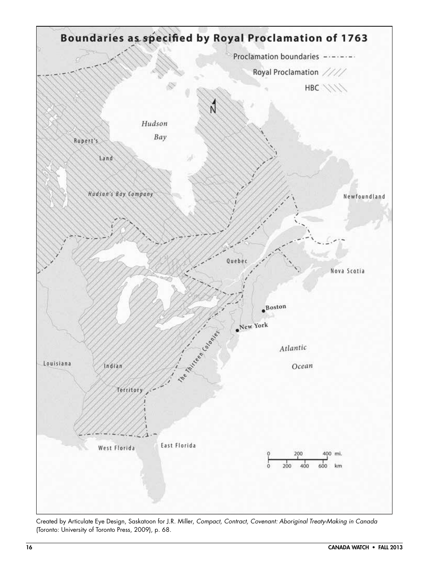

Created by Articulate Eye Design, Saskatoon for J.R. Miller, *Compact, Contract, Covenant: Aboriginal Treaty-Making in Canada* (Toronto: University of Toronto Press, 2009), p. 68.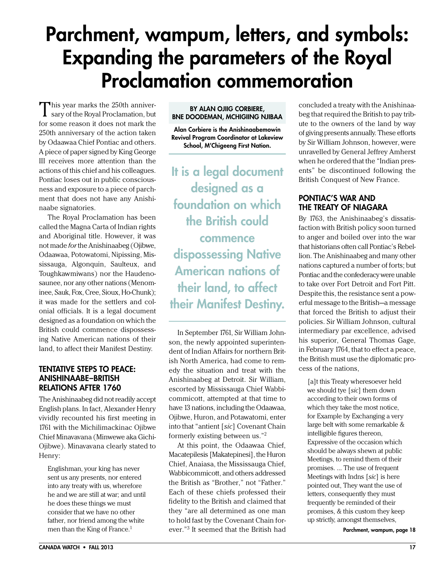## <span id="page-16-0"></span>Parchment, wampum, letters, and symbols: Expanding the parameters of the Royal Proclamation commemoration

This year marks the 250th anniver-sary of the Royal Proclamation, but for some reason it does not mark the 250th anniversary of the action taken by Odaawaa Chief Pontiac and others. A piece of paper signed by King George III receives more attention than the actions of this chief and his colleagues. Pontiac loses out in public consciousness and exposure to a piece of parchment that does not have any Anishinaabe signatories.

The Royal Proclamation has been called the Magna Carta of Indian rights and Aboriginal title. However, it was not made *for* the Anishinaabeg (Ojibwe, Odaawaa, Potowatomi, Nipissing, Mississauga, Algonquin, Saulteux, and Toughkawmiwans) nor the Haudenosaunee, nor any other nations (Menominee, Sauk, Fox, Cree, Sioux, Ho-Chunk); it was made for the settlers and colonial officials. It is a legal document designed as a foundation on which the British could commence dispossessing Native American nations of their land, to affect their Manifest Destiny.

### Tentative Steps to Peace: Anishinaabe –British Relations After 1760

The Anishinaabeg did not readily accept English plans. In fact, Alexander Henry vividly recounted his first meeting in 1761 with the Michilimackinac Ojibwe Chief Minavavana (Minwewe aka Gichi-Ojibwe). Minavavana clearly stated to Henry:

Englishman, your king has never sent us any presents, nor entered into any treaty with us, wherefore he and we are still at war; and until he does these things we must consider that we have no other father, nor friend among the white men than the King of France.<sup>1</sup>

#### By Alan Ojiig Corbiere, Bne Doodeman, Mchigiing njibaa

Alan Corbiere is the Anishinaabemowin Revival Program Coordinator at Lakeview School, M'Chigeeng First Nation.

It is a legal document designed as a foundation on which the British could commence dispossessing Native American nations of their land, to affect their Manifest Destiny.

In September 1761, Sir William Johnson, the newly appointed superintendent of Indian Affairs for northern British North America, had come to remedy the situation and treat with the Anishinaabeg at Detroit. Sir William, escorted by Mississauga Chief Wabbicommicott, attempted at that time to have 13 nations, including the Odaawaa, Ojibwe, Huron, and Potawatomi, enter into that "antient [*sic*] Covenant Chain formerly existing between us."2

At this point, the Odaawaa Chief, Macatepilesis [Makatepinesi], the Huron Chief, Anaiasa, the Mississauga Chief, Wabbicommicott, and others addressed the British as "Brother," not "Father." Each of these chiefs professed their fidelity to the British and claimed that they "are all determined as one man to hold fast by the Covenant Chain forever."<sup>3</sup> It seemed that the British had **Parchment, wampum, page 18** 

concluded a treaty with the Anishinaabeg that required the British to pay tribute to the owners of the land by way of giving presents annually. These efforts by Sir William Johnson, however, were unravelled by General Jeffrey Amherst when he ordered that the "Indian presents" be discontinued following the British Conquest of New France.

### Pontiac's War and the Treaty of Niagara

By 1763, the Anishinaabeg's dissatisfaction with British policy soon turned to anger and boiled over into the war that historians often call Pontiac's Rebellion. The Anishinaabeg and many other nations captured a number of forts; but Pontiac and the confederacy were unable to take over Fort Detroit and Fort Pitt. Despite this, the resistance sent a powerful message to the British—a message that forced the British to adjust their policies. Sir William Johnson, cultural intermediary par excellence, advised his superior, General Thomas Gage, in February 1764, that to effect a peace, the British must use the diplomatic process of the nations,

[a]t this Treaty wheresoever held we should tye [*sic*] them down according to their own forms of which they take the most notice, for Example by Exchanging a very large belt with some remarkable & intelligible figures thereon, Expressive of the occasion which should be always shewn at public Meetings, to remind them of their promises. … The use of frequent Meetings with Indns [*sic*] is here pointed out, They want the use of letters, consequently they must frequently be reminded of their promises, & this custom they keep up strictly, amongst themselves,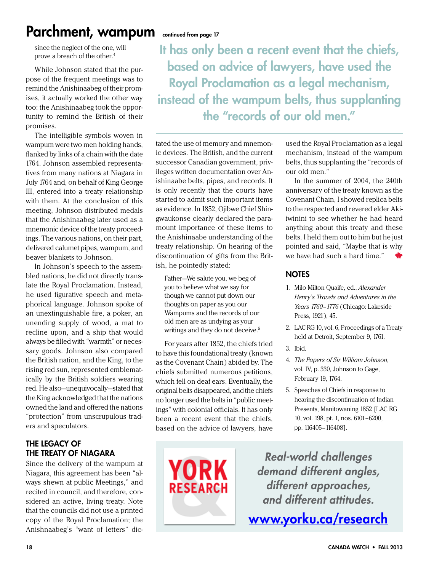### Parchment, wampum continued from page 17

since the neglect of the one, will prove a breach of the other.4

While Johnson stated that the purpose of the frequent meetings was to remind the Anishinaabeg of their promises, it actually worked the other way too: the Anishinaabeg took the opportunity to remind the British of their promises.

The intelligible symbols woven in wampum were two men holding hands, flanked by links of a chain with the date 1764. Johnson assembled representatives from many nations at Niagara in July 1764 and, on behalf of King George III, entered into a treaty relationship with them. At the conclusion of this meeting, Johnson distributed medals that the Anishinaabeg later used as a mnemonic device of the treaty proceedings. The various nations, on their part, delivered calumet pipes, wampum, and beaver blankets to Johnson.

In Johnson's speech to the assembled nations, he did not directly translate the Royal Proclamation. Instead, he used figurative speech and metaphorical language. Johnson spoke of an unextinguishable fire, a poker, an unending supply of wood, a mat to recline upon, and a ship that would always be filled with "warmth" or necessary goods. Johnson also compared the British nation, and the King, to the rising red sun, represented emblematically by the British soldiers wearing red. He also—unequivocally—stated that the King acknowledged that the nations owned the land and offered the nations "protection" from unscrupulous traders and speculators.

### The Legacy of the Treaty of Niagara

Since the delivery of the wampum at Niagara, this agreement has been "always shewn at public Meetings," and recited in council, and therefore, considered an active, living treaty. Note that the councils did not use a printed copy of the Royal Proclamation; the Anishnaabeg's "want of letters" dic-

It has only been a recent event that the chiefs, based on advice of lawyers, have used the Royal Proclamation as a legal mechanism, instead of the wampum belts, thus supplanting the "records of our old men."

tated the use of memory and mnemonic devices. The British, and the current successor Canadian government, privileges written documentation over Anishinaabe belts, pipes, and records. It is only recently that the courts have started to admit such important items as evidence. In 1852, Ojibwe Chief Shingwaukonse clearly declared the paramount importance of these items to the Anishinaabe understanding of the treaty relationship. On hearing of the discontinuation of gifts from the British, he pointedly stated:

Father—We salute you, we beg of you to believe what we say for though we cannot put down our thoughts on paper as you our Wampums and the records of our old men are as undying as your writings and they do not deceive.<sup>5</sup>

For years after 1852, the chiefs tried to have this foundational treaty (known as the Covenant Chain) abided by. The chiefs submitted numerous petitions, which fell on deaf ears. Eventually, the original belts disappeared, and the chiefs no longer used the belts in "public meetings" with colonial officials. It has only been a recent event that the chiefs, based on the advice of lawyers, have

**YORK** 

**RESEARCH** 

used the Royal Proclamation as a legal mechanism, instead of the wampum belts, thus supplanting the "records of our old men."

In the summer of 2004, the 240th anniversary of the treaty known as the Covenant Chain, I showed replica belts to the respected and revered elder Akiiwinini to see whether he had heard anything about this treaty and these belts. I held them out to him but he just pointed and said, "Maybe that is why we have had such a hard time."

### **NOTES**

- 1. Milo Milton Quaife, ed., *Alexander Henry's Travels and Adventures in the Years 1760–1776* (Chicago: Lakeside Press, 1921), 45.
- 2. LAC RG 10, vol. 6, Proceedings of a Treaty held at Detroit, September 9, 1761.
- 3. Ibid.
- 4. *The Papers of Sir William Johnson*, vol. IV, p. 330, Johnson to Gage, February 19, 1764.
- 5. Speeches of Chiefs in response to hearing the discontinuation of Indian Presents, Manitowaning 1852 [LAC RG 10, vol. 198, pt. 1, nos. 6101–6200, pp. 116405–116408].

*Real-world challenges demand different angles, different approaches, and different attitudes.*

<www.yorku.ca/research>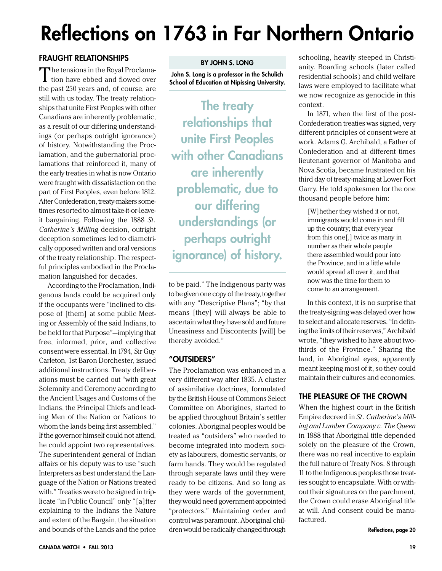# <span id="page-18-0"></span>Reflections on 1763 in Far Northern Ontario

### Fraught Relationships

The tensions in the Royal Proclama-<br>tion have ebbed and flowed over the past 250 years and, of course, are still with us today. The treaty relationships that unite First Peoples with other Canadians are inherently problematic, as a result of our differing understandings (or perhaps outright ignorance) of history. Notwithstanding the Proclamation, and the gubernatorial proclamations that reinforced it, many of the early treaties in what is now Ontario were fraught with dissatisfaction on the part of First Peoples, even before 1812. After Confederation, treaty-makers sometimes resorted to almost take-it-or-leaveit bargaining. Following the 1888 *St. Catherine's Milling* decision, outright deception sometimes led to diametrically opposed written and oral versions of the treaty relationship. The respectful principles embodied in the Proclamation languished for decades.

According to the Proclamation, Indigenous lands could be acquired only if the occupants were "inclined to dispose of [them] at some public Meeting or Assembly of the said Indians, to be held for that Purpose"—implying that free, informed, prior, and collective consent were essential. In 1794, Sir Guy Carleton, 1st Baron Dorchester, issued additional instructions. Treaty deliberations must be carried out "with great Solemnity and Ceremony according to the Ancient Usages and Customs of the Indians, the Principal Chiefs and leading Men of the Nation or Nations to whom the lands being first assembled." If the governor himself could not attend, he could appoint two representatives. The superintendent general of Indian affairs or his deputy was to use "such Interpreters as best understand the Language of the Nation or Nations treated with." Treaties were to be signed in triplicate "in Public Council" only "[a]fter explaining to the Indians the Nature and extent of the Bargain, the situation and bounds of the Lands and the price

John S. Long is a professor in the Schulich School of Education at Nipissing University.

The treaty relationships that unite First Peoples with other Canadians are inherently problematic, due to our differing understandings (or perhaps outright ignorance) of history.

to be paid." The Indigenous party was to be given one copy of the treaty, together with any "Descriptive Plans"; "by that means [they] will always be able to ascertain what they have sold and future Uneasiness and Discontents [will] be thereby avoided."

### "Outsiders"

The Proclamation was enhanced in a very different way after 1835. A cluster of assimilative doctrines, formulated by the British House of Commons Select Committee on Aborigines, started to be applied throughout Britain's settler colonies. Aboriginal peoples would be treated as "outsiders" who needed to become integrated into modern society as labourers, domestic servants, or farm hands. They would be regulated through separate laws until they were ready to be citizens. And so long as they were wards of the government, they would need government-appointed "protectors." Maintaining order and control was paramount. Aboriginal children would be radically changed through

schooling, heavily steeped in Christianity. Boarding schools (later called residential schools) and child welfare laws were employed to facilitate what we now recognize as genocide in this context.

In 1871, when the first of the post-Confederation treaties was signed, very different principles of consent were at work. Adams G. Archibald, a Father of Confederation and at different times lieutenant governor of Manitoba and Nova Scotia, became frustrated on his third day of treaty-making at Lower Fort Garry. He told spokesmen for the one thousand people before him:

[W]hether they wished it or not, immigrants would come in and fill up the country; that every year from this one[,] twice as many in number as their whole people there assembled would pour into the Province, and in a little while would spread all over it, and that now was the time for them to come to an arrangement.

In this context, it is no surprise that the treaty-signing was delayed over how to select and allocate reserves. "In defining the limits of their reserves," Archibald wrote, "they wished to have about twothirds of the Province." Sharing the land, in Aboriginal eyes, apparently meant keeping most of it, so they could maintain their cultures and economies.

### The Pleasure of the Crown

When the highest court in the British Empire decreed in *St. Catherine's Milling and Lumber Company v. The Queen* in 1888 that Aboriginal title depended solely on the pleasure of the Crown, there was no real incentive to explain the full nature of Treaty Nos. 8 through 11 to the Indigenous peoples those treaties sought to encapsulate. With or without their signatures on the parchment, the Crown could erase Aboriginal title at will. And consent could be manufactured.

Reflections, page 20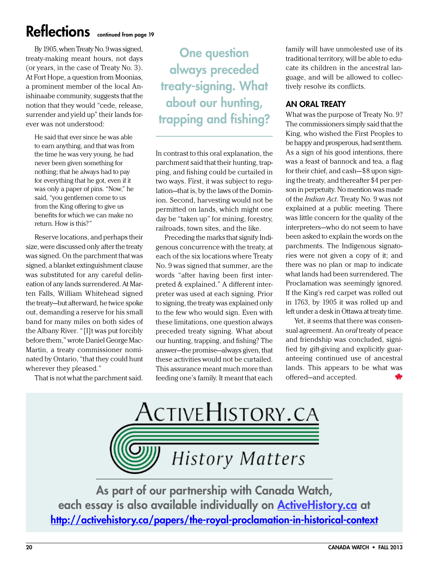### Reflections continued from page 19

By 1905, when Treaty No. 9 was signed, treaty-making meant hours, not days (or years, in the case of Treaty No. 3). At Fort Hope, a question from Moonias, a prominent member of the local Anishinaabe community, suggests that the notion that they would "cede, release, surrender and yield up" their lands forever was not understood:

He said that ever since he was able to earn anything, and that was from the time he was very young, he had never been given something for nothing; that he always had to pay for everything that he got, even if it was only a paper of pins. "Now," he said, "you gentlemen come to us from the King offering to give us benefits for which we can make no return. How is this?"

Reserve locations, and perhaps their size, were discussed only after the treaty was signed. On the parchment that was signed, a blanket extinguishment clause was substituted for any careful delineation of any lands surrendered. At Marten Falls, William Whitehead signed the treaty—but afterward, he twice spoke out, demanding a reserve for his small band for many miles on both sides of the Albany River. "[I]t was put forcibly before them," wrote Daniel George Mac-Martin, a treaty commissioner nominated by Ontario, "that they could hunt wherever they pleased."

That is not what the parchment said.

One question always preceded treaty-signing. What about our hunting, trapping and fishing?

In contrast to this oral explanation, the parchment said that their hunting, trapping, and fishing could be curtailed in two ways. First, it was subject to regulation—that is, by the laws of the Dominion. Second, harvesting would not be permitted on lands, which might one day be "taken up" for mining, forestry, railroads, town sites, and the like.

Preceding the marks that signify Indigenous concurrence with the treaty, at each of the six locations where Treaty No. 9 was signed that summer, are the words "after having been first interpreted & explained." A different interpreter was used at each signing. Prior to signing, the treaty was explained only to the few who would sign. Even with these limitations, one question always preceded treaty signing. What about our hunting, trapping, and fishing? The answer—the promise—always given, that these activities would not be curtailed. This assurance meant much more than feeding one's family. It meant that each

family will have unmolested use of its traditional territory, will be able to educate its children in the ancestral language, and will be allowed to collectively resolve its conflicts.

### An Oral Treaty

What was the purpose of Treaty No. 9? The commissioners simply said that the King, who wished the First Peoples to be happy and prosperous, had sent them. As a sign of his good intentions, there was a feast of bannock and tea, a flag for their chief, and cash—\$8 upon signing the treaty, and thereafter \$4 per person in perpetuity. No mention was made of the *Indian Act*. Treaty No. 9 was not explained at a public meeting. There was little concern for the quality of the interpreters—who do not seem to have been asked to explain the words on the parchments. The Indigenous signatories were not given a copy of it; and there was no plan or map to indicate what lands had been surrendered. The Proclamation was seemingly ignored. If the King's red carpet was rolled out in 1763, by 1905 it was rolled up and left under a desk in Ottawa at treaty time.

Yet, it seems that there was consensual agreement. An *oral* treaty of peace and friendship was concluded, signified by gift-giving and explicitly guaranteeing continued use of ancestral lands. This appears to be what was offered—and accepted.



As part of our partnership with Canada Watch, each essay is also available individually on [ActiveHistory.ca](http://ActiveHistory.ca/) at <http://activehistory.ca/papers/the-royal-proclamation-in-historical-context>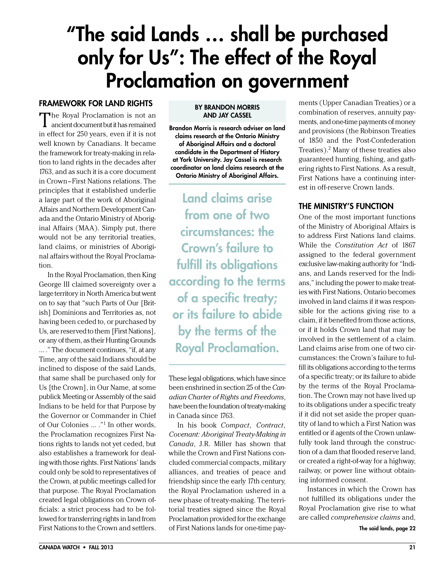## <span id="page-20-0"></span>"The said Lands … shall be purchased only for Us": The effect of the Royal Proclamation on government

### Framework for Land Rights

The Royal Proclamation is not an ancient document but it has remained in effect for 250 years, even if it is not well known by Canadians. It became the framework for treaty-making in relation to land rights in the decades after 1763, and as such it is a core document in Crown–First Nations relations. The principles that it established underlie a large part of the work of Aboriginal Affairs and Northern Development Canada and the Ontario Ministry of Aboriginal Affairs (MAA). Simply put, there would not be any territorial treaties, land claims, or ministries of Aboriginal affairs without the Royal Proclamation.

In the Royal Proclamation, then King George III claimed sovereignty over a large territory in North America but went on to say that "such Parts of Our [British] Dominions and Territories as, not having been ceded to, or purchased by Us, are reserved to them [First Nations], or any of them, as their Hunting Grounds … ." The document continues, "if, at any Time, any of the said Indians should be inclined to dispose of the said Lands, that same shall be purchased only for Us [the Crown], in Our Name, at some publick Meeting or Assembly of the said Indians to be held for that Purpose by the Governor or Commander in Chief of Our Colonies … ."1 In other words, the Proclamation recognizes First Nations rights to lands not yet ceded, but also establishes a framework for dealing with those rights. First Nations' lands could only be sold to representatives of the Crown, at public meetings called for that purpose. The Royal Proclamation created legal obligations on Crown officials: a strict process had to be followed for transferring rights in land from First Nations to the Crown and settlers.

#### By Brandon Morris and Jay Cassel

Brandon Morris is research adviser on land claims research at the Ontario Ministry of Aboriginal Affairs and a doctoral candidate in the Department of History at York University. Jay Cassel is research coordinator on land claims research at the Ontario Ministry of Aboriginal Affairs.

Land claims arise from one of two circumstances: the Crown's failure to fulfill its obligations according to the terms of a specific treaty; or its failure to abide by the terms of the Royal Proclamation.

These legal obligations, which have since been enshrined in section 25 of the *Canadian Charter of Rights and Freedoms*, have been the foundation of treaty-making in Canada since 1763.

In his book *Compact, Contract, Covenant: Aboriginal Treaty-Making in Canada*, J.R. Miller has shown that while the Crown and First Nations concluded commercial compacts, military alliances, and treaties of peace and friendship since the early 17th century, the Royal Proclamation ushered in a new phase of treaty-making. The territorial treaties signed since the Royal Proclamation provided for the exchange of First Nations lands for one-time pay-

ments (Upper Canadian Treaties) or a combination of reserves, annuity payments, and one-time payments of money and provisions (the Robinson Treaties of 1850 and the Post-Confederation Treaties).<sup>2</sup> Many of these treaties also guaranteed hunting, fishing, and gathering rights to First Nations. As a result, First Nations have a continuing interest in off-reserve Crown lands.

### The Ministry's Function

One of the most important functions of the Ministry of Aboriginal Affairs is to address First Nations land claims. While the *Constitution Act* of 1867 assigned to the federal government exclusive law-making authority for "Indians, and Lands reserved for the Indians," including the power to make treaties with First Nations, Ontario becomes involved in land claims if it was responsible for the actions giving rise to a claim, if it benefited from those actions, or if it holds Crown land that may be involved in the settlement of a claim. Land claims arise from one of two circumstances: the Crown's failure to fulfill its obligations according to the terms of a specific treaty; or its failure to abide by the terms of the Royal Proclamation. The Crown may not have lived up to its obligations under a specific treaty if it did not set aside the proper quantity of land to which a First Nation was entitled or if agents of the Crown unlawfully took land through the construction of a dam that flooded reserve land, or created a right-of-way for a highway, railway, or power line without obtaining informed consent.

Instances in which the Crown has not fulfilled its obligations under the Royal Proclamation give rise to what are called *comprehensive claims* and,

The said lands, page 22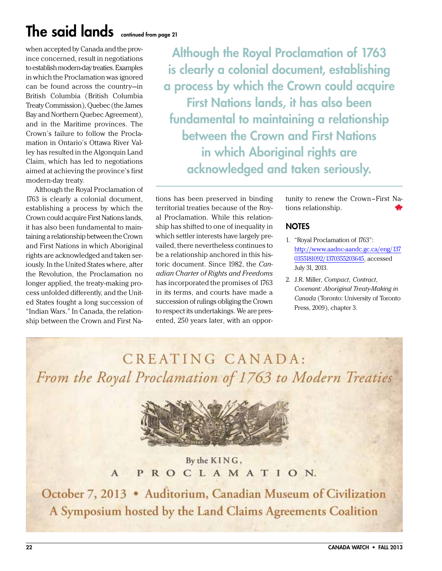### The said lands continued from page 21

when accepted by Canada and the province concerned, result in negotiations to establish modern-day treaties. Examples in which the Proclamation was ignored can be found across the country—in British Columbia (British Columbia Treaty Commission), Quebec (the James Bay and Northern Quebec Agreement), and in the Maritime provinces. The Crown's failure to follow the Proclamation in Ontario's Ottawa River Valley has resulted in the Algonquin Land Claim, which has led to negotiations aimed at achieving the province's first modern-day treaty.

Although the Royal Proclamation of 1763 is clearly a colonial document, establishing a process by which the Crown could acquire First Nations lands, it has also been fundamental to maintaining a relationship between the Crown and First Nations in which Aboriginal rights are acknowledged and taken seriously. In the United States where, after the Revolution, the Proclamation no longer applied, the treaty-making process unfolded differently, and the United States fought a long succession of "Indian Wars." In Canada, the relationship between the Crown and First Na-

Although the Royal Proclamation of 1763 is clearly a colonial document, establishing a process by which the Crown could acquire First Nations lands, it has also been fundamental to maintaining a relationship between the Crown and First Nations in which Aboriginal rights are acknowledged and taken seriously.

tions has been preserved in binding territorial treaties because of the Royal Proclamation. While this relationship has shifted to one of inequality in which settler interests have largely prevailed, there nevertheless continues to be a relationship anchored in this historic document. Since 1982, the *Canadian Charter of Rights and Freedoms* has incorporated the promises of 1763 in its terms, and courts have made a succession of rulings obliging the Crown to respect its undertakings. We are presented, 250 years later, with an opportunity to renew the Crown–First Nations relationship.

### **NOTES**

- 1. "Royal Proclamation of 1763": [http://www.aadnc-aandc.gc.ca/eng/137](http://www.aadnc-aandc.gc.ca/eng/1370355181092/1370355203645) [0355181092/1370355203645,](http://www.aadnc-aandc.gc.ca/eng/1370355181092/1370355203645) accessed July 31, 2013.
- 2. J.R. Miller, *Compact, Contract, Covenant: Aboriginal Treaty-Making in Canada* (Toronto: University of Toronto Press, 2009), chapter 3.

CREATING CANADA: From the Royal Proclamation of 1763 to Modern Treaties



By the KING, PROCLAMATION.  $A -$ 

October 7, 2013 . Auditorium, Canadian Museum of Civilization A Symposium hosted by the Land Claims Agreements Coalition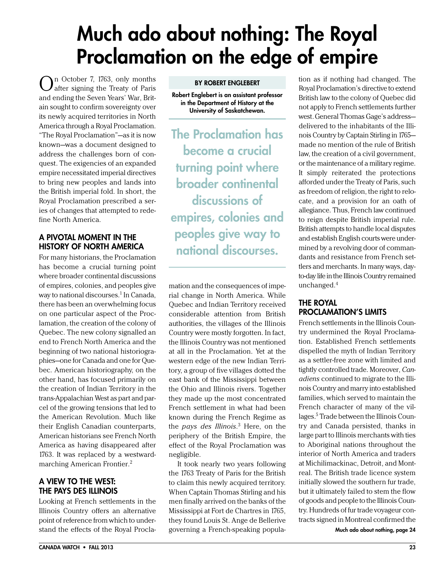## <span id="page-22-0"></span>Much ado about nothing: The Royal Proclamation on the edge of empire

On October 7, 1763, only months after signing the Treaty of Paris and ending the Seven Years' War, Britain sought to confirm sovereignty over its newly acquired territories in North America through a Royal Proclamation. "The Royal Proclamation"—as it is now known—was a document designed to address the challenges born of conquest. The exigencies of an expanded empire necessitated imperial directives to bring new peoples and lands into the British imperial fold. In short, the Royal Proclamation prescribed a series of changes that attempted to redefine North America.

### A Pivotal Moment in the History of North America

For many historians, the Proclamation has become a crucial turning point where broader continental discussions of empires, colonies, and peoples give way to national discourses.<sup>1</sup> In Canada, there has been an overwhelming focus on one particular aspect of the Proclamation, the creation of the colony of Quebec. The new colony signalled an end to French North America and the beginning of two national historiographies—one for Canada and one for Quebec. American historiography, on the other hand, has focused primarily on the creation of Indian Territory in the trans-Appalachian West as part and parcel of the growing tensions that led to the American Revolution. Much like their English Canadian counterparts, American historians see French North America as having disappeared after 1763. It was replaced by a westwardmarching American Frontier.2

### A View to the West: The Pays des Illinois

Looking at French settlements in the Illinois Country offers an alternative point of reference from which to understand the effects of the Royal Procla-

#### By Robert Englebert

Robert Englebert is an assistant professor in the Department of History at the University of Saskatchewan.

The Proclamation has become a crucial turning point where broader continental discussions of empires, colonies and peoples give way to national discourses.

mation and the consequences of imperial change in North America. While Quebec and Indian Territory received considerable attention from British authorities, the villages of the Illinois Country were mostly forgotten. In fact, the Illinois Country was not mentioned at all in the Proclamation. Yet at the western edge of the new Indian Territory, a group of five villages dotted the east bank of the Mississippi between the Ohio and Illinois rivers. Together they made up the most concentrated French settlement in what had been known during the French Regime as the *pays des Illinois*. <sup>3</sup> Here, on the periphery of the British Empire, the effect of the Royal Proclamation was negligible.

It took nearly two years following the 1763 Treaty of Paris for the British to claim this newly acquired territory. When Captain Thomas Stirling and his men finally arrived on the banks of the Mississippi at Fort de Chartres in 1765, they found Louis St. Ange de Bellerive governing a French-speaking population as if nothing had changed. The Royal Proclamation's directive to extend British law to the colony of Quebec did not apply to French settlements further west.General Thomas Gage's address delivered to the inhabitants of the Illinois Country by Captain Stirling in 1765 made no mention of the rule of British law, the creation of a civil government, or the maintenance of a military regime. It simply reiterated the protections afforded under the Treaty of Paris, such as freedom of religion, the right to relocate, and a provision for an oath of allegiance. Thus, French law continued to reign despite British imperial rule. British attempts to handle local disputes and establish English courts were undermined by a revolving door of commandants and resistance from French settlers and merchants. In many ways, dayto-day life in the Illinois Country remained unchanged.4

### The Royal Proclamation's Limits

French settlements in the Illinois Country undermined the Royal Proclamation. Established French settlements dispelled the myth of Indian Territory as a settler-free zone with limited and tightly controlled trade. Moreover, *Canadiens* continued to migrate to the Illinois Country and marry into established families, which served to maintain the French character of many of the villages.5 Trade between the Illinois Country and Canada persisted, thanks in large part to Illinois merchants with ties to Aboriginal nations throughout the interior of North America and traders at Michilimackinac, Detroit, and Montreal. The British trade licence system initially slowed the southern fur trade, but it ultimately failed to stem the flow of goods and people to the Illinois Country. Hundreds of fur trade voyageur contracts signed in Montreal confirmed the

Much ado about nothing, page 24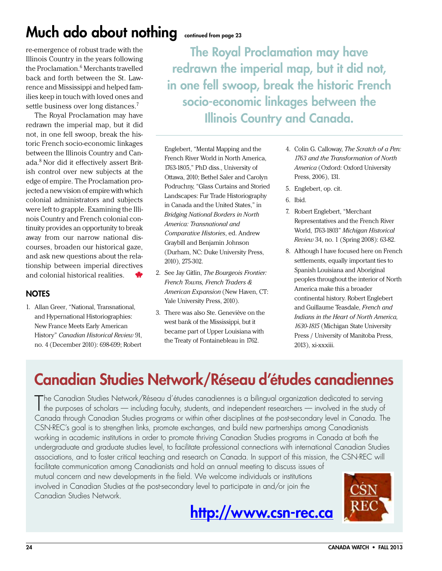### Much ado about nothing continued from page 23

re-emergence of robust trade with the Illinois Country in the years following the Proclamation.<sup>6</sup> Merchants travelled back and forth between the St. Lawrence and Mississippi and helped families keep in touch with loved ones and settle business over long distances.<sup>7</sup>

The Royal Proclamation may have redrawn the imperial map, but it did not, in one fell swoop, break the historic French socio-economic linkages between the Illinois Country and Canada.8 Nor did it effectively assert British control over new subjects at the edge of empire. The Proclamation projected a new vision of empire with which colonial administrators and subjects were left to grapple. Examining the Illinois Country and French colonial continuity provides an opportunity to break away from our narrow national discourses, broaden our historical gaze, and ask new questions about the relationship between imperial directives and colonial historical realities.

### **NOTES**

1. Allan Greer, "National, Transnational, and Hypernational Historiographies: New France Meets Early American History" *Canadian Historical Review* 91, no. 4 (December 2010): 698-699; Robert

The Royal Proclamation may have redrawn the imperial map, but it did not, in one fell swoop, break the historic French socio-economic linkages between the Illinois Country and Canada.

Englebert, "Mental Mapping and the French River World in North America, 1763-1805," PhD diss., University of Ottawa, 2010; Bethel Saler and Carolyn Podruchny, "Glass Curtains and Storied Landscapes: Fur Trade Historiography in Canada and the United States," in *Bridging National Borders in North America: Transnational and Comparative Histories*, ed. Andrew Graybill and Benjamin Johnson (Durham, NC: Duke University Press, 2010), 275-302.

- 2. See Jay Gitlin, *The Bourgeois Frontier: French Towns, French Traders & American Expansion* (New Haven, CT: Yale University Press, 2010).
- 3. There was also Ste. Geneviève on the west bank of the Mississippi, but it became part of Upper Louisiana with the Treaty of Fontainebleau in 1762.
- 4. Colin G. Calloway, *The Scratch of a Pen: 1763 and the Transformation of North America* (Oxford: Oxford University Press, 2006), 131.
- 5. Englebert, op. cit.
- 6. Ibid.
- 7. Robert Englebert, "Merchant Representatives and the French River World, 1763-1803" *Michigan Historical Review* 34, no. 1 (Spring 2008): 63-82.
- 8. Although I have focused here on French settlements, equally important ties to Spanish Louisiana and Aboriginal peoples throughout the interior of North America make this a broader continental history. Robert Englebert and Guillaume Teasdale, *French and Indians in the Heart of North America, 1630-1815* (Michigan State University Press / University of Manitoba Press, 2013), xi-xxxiii.

### Canadian Studies Network/Réseau d'études canadiennes

The Canadian Studies Network/Réseau d'études canadiennes is a bilingual organization dedicated to serving<br>the purposes of scholars — including faculty, students, and independent researchers — involved in the study of the purposes of scholars — including faculty, students, and independent researchers — involved in the study of Canada through Canadian Studies programs or within other disciplines at the post-secondary level in Canada. The CSN-REC's goal is to strengthen links, promote exchanges, and build new partnerships among Canadianists working in academic institutions in order to promote thriving Canadian Studies programs in Canada at both the undergraduate and graduate studies level, to facilitate professional connections with international Canadian Studies associations, and to foster critical teaching and research on Canada. In support of this mission, the CSN-REC will

facilitate communication among Canadianists and hold an annual meeting to discuss issues of mutual concern and new developments in the field. We welcome individuals or institutions involved in Canadian Studies at the post-secondary level to participate in and/or join the Canadian Studies Network.



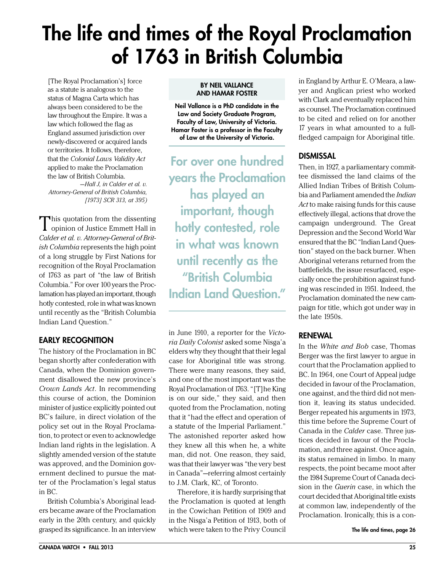## <span id="page-24-0"></span>The life and times of the Royal Proclamation of 1763 in British Columbia

[The Royal Proclamation's] force as a statute is analogous to the status of Magna Carta which has always been considered to be the law throughout the Empire. It was a law which followed the flag as England assumed jurisdiction over newly-discovered or acquired lands or territories. It follows, therefore, that the *Colonial Laws Validity Act*  applied to make the Proclamation the law of British Columbia. *—Hall J, in Calder et al. v.* 

*Attorney-General of British Columbia, [1973] SCR 313, at 395)*

This quotation from the dissenting **L** opinion of Justice Emmett Hall in *Calder et al. v. Attorney-General of British Columbia* represents the high point of a long struggle by First Nations for recognition of the Royal Proclamation of 1763 as part of "the law of British Columbia." For over 100 years the Proclamation has played an important, though hotly contested, role in what was known until recently as the "British Columbia Indian Land Question."

### Early Recognition

The history of the Proclamation in BC began shortly after confederation with Canada, when the Dominion government disallowed the new province's *Crown Lands Act*. In recommending this course of action, the Dominion minister of justice explicitly pointed out BC's failure, in direct violation of the policy set out in the Royal Proclamation, to protect or even to acknowledge Indian land rights in the legislation. A slightly amended version of the statute was approved, and the Dominion government declined to pursue the matter of the Proclamation's legal status in BC.

British Columbia's Aboriginal leaders became aware of the Proclamation early in the 20th century, and quickly grasped its significance. In an interview

#### By Neil Vallance and Hamar Foster

Neil Vallance is a PhD candidate in the Law and Society Graduate Program, Faculty of Law, University of Victoria. Hamar Foster is a professor in the Faculty of Law at the University of Victoria.

For over one hundred years the Proclamation has played an important, though hotly contested, role in what was known until recently as the "British Columbia Indian Land Question."

in June 1910, a reporter for the *Victoria Daily Colonist* asked some Nisga'a elders why they thought that their legal case for Aboriginal title was strong. There were many reasons, they said, and one of the most important was the Royal Proclamation of 1763. "[T]he King is on our side," they said, and then quoted from the Proclamation, noting that it "had the effect and operation of a statute of the Imperial Parliament." The astonished reporter asked how they knew all this when he, a white man, did not. One reason, they said, was that their lawyer was "the very best in Canada"—referring almost certainly to J.M. Clark, KC, of Toronto.

Therefore, it is hardly surprising that the Proclamation is quoted at length in the Cowichan Petition of 1909 and in the Nisga'a Petition of 1913, both of which were taken to the Privy Council

in England by Arthur E. O'Meara, a lawyer and Anglican priest who worked with Clark and eventually replaced him as counsel. The Proclamation continued to be cited and relied on for another 17 years in what amounted to a fullfledged campaign for Aboriginal title.

### **DISMISSAL**

Then, in 1927, a parliamentary committee dismissed the land claims of the Allied Indian Tribes of British Columbia and Parliament amended the *Indian Act* to make raising funds for this cause effectively illegal, actions that drove the campaign underground. The Great Depression and the Second World War ensured that the BC "Indian Land Question" stayed on the back burner. When Aboriginal veterans returned from the battlefields, the issue resurfaced, especially once the prohibition against funding was rescinded in 1951. Indeed, the Proclamation dominated the new campaign for title, which got under way in the late 1950s.

### **RENEWAL**

In the *White and Bob* case, Thomas Berger was the first lawyer to argue in court that the Proclamation applied to BC. In 1964, one Court of Appeal judge decided in favour of the Proclamation, one against, and the third did not mention it, leaving its status undecided. Berger repeated his arguments in 1973, this time before the Supreme Court of Canada in the *Calder* case. Three justices decided in favour of the Proclamation, and three against. Once again, its status remained in limbo. In many respects, the point became moot after the 1984 Supreme Court of Canada decision in the *Guerin* case, in which the court decided that Aboriginal title exists at common law, independently of the Proclamation. Ironically, this is a con-

The life and times, page 26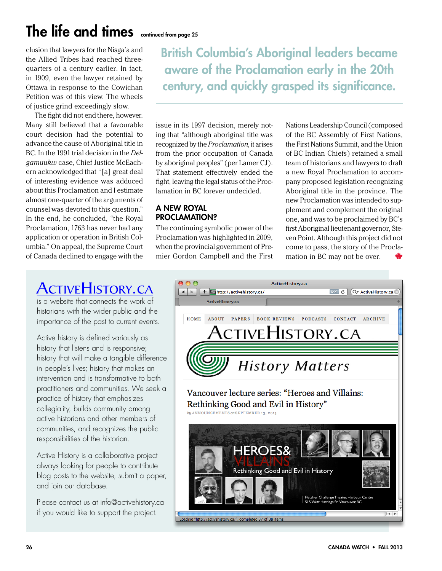## The life and times continued from page 25

clusion that lawyers for the Nisga'a and the Allied Tribes had reached threequarters of a century earlier. In fact, in 1909, even the lawyer retained by Ottawa in response to the Cowichan Petition was of this view. The wheels of justice grind exceedingly slow.

The fight did not end there, however. Many still believed that a favourable court decision had the potential to advance the cause of Aboriginal title in BC. In the 1991 trial decision in the *Delgamuukw* case, Chief Justice McEachern acknowledged that "[a] great deal of interesting evidence was adduced about this Proclamation and I estimate almost one-quarter of the arguments of counsel was devoted to this question." In the end, he concluded, "the Royal Proclamation, 1763 has never had any application or operation in British Columbia." On appeal, the Supreme Court of Canada declined to engage with the

British Columbia's Aboriginal leaders became aware of the Proclamation early in the 20th century, and quickly grasped its significance.

issue in its 1997 decision, merely noting that "although aboriginal title was recognized by the *Proclamation*, it arises from the prior occupation of Canada by aboriginal peoples" (per Lamer CJ). That statement effectively ended the fight, leaving the legal status of the Proclamation in BC forever undecided.

### A New Royal PROCLAMATION?

The continuing symbolic power of the Proclamation was highlighted in 2009, when the provincial government of Premier Gordon Campbell and the First

Nations Leadership Council (composed of the BC Assembly of First Nations, the First Nations Summit, and the Union of BC Indian Chiefs) retained a small team of historians and lawyers to draft a new Royal Proclamation to accompany proposed legislation recognizing Aboriginal title in the province. The new Proclamation was intended to supplement and complement the original one, and was to be proclaimed by BC's first Aboriginal lieutenant governor, Steven Point. Although this project did not come to pass, the story of the Proclamation in BC may not be over.

### ACTIVEHISTORY.CA

is a website that connects the work of historians with the wider public and the importance of the past to current events.

Active history is defined variously as history that listens and is responsive; history that will make a tangible difference in people's lives; history that makes an intervention and is transformative to both practitioners and communities. We seek a practice of history that emphasizes collegiality, builds community among active historians and other members of communities, and recognizes the public responsibilities of the historian.

Active History is a collaborative project always looking for people to contribute blog posts to the website, submit a paper, and join our database.

Please contact us at info@activehistory.ca if you would like to support the project.

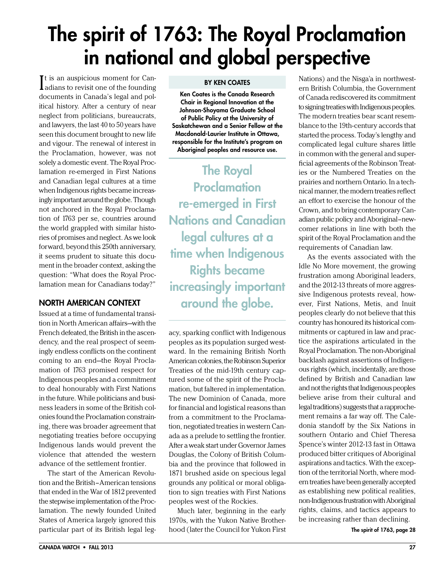## <span id="page-26-0"></span>The spirit of 1763: The Royal Proclamation in national and global perspective

It is an auspicious moment for Can-<br>adians to revisit one of the founding adians to revisit one of the founding documents in Canada's legal and political history. After a century of near neglect from politicians, bureaucrats, and lawyers, the last 40 to 50 years have seen this document brought to new life and vigour. The renewal of interest in the Proclamation, however, was not solely a domestic event. The Royal Proclamation re-emerged in First Nations and Canadian legal cultures at a time when Indigenous rights became increasingly important around the globe. Though not anchored in the Royal Proclamation of 1763 per se, countries around the world grappled with similar histories of promises and neglect. As we look forward, beyond this 250th anniversary, it seems prudent to situate this document in the broader context, asking the question: "What does the Royal Proclamation mean for Canadians today?"

### North American Context

Issued at a time of fundamental transition in North American affairs—with the French defeated, the British in the ascendency, and the real prospect of seemingly endless conflicts on the continent coming to an end—the Royal Proclamation of 1763 promised respect for Indigenous peoples and a commitment to deal honourably with First Nations in the future. While politicians and business leaders in some of the British colonies found the Proclamation constraining, there was broader agreement that negotiating treaties before occupying Indigenous lands would prevent the violence that attended the western advance of the settlement frontier.

The start of the American Revolution and the British–American tensions that ended in the War of 1812 prevented the stepwise implementation of the Proclamation. The newly founded United States of America largely ignored this particular part of its British legal leg-

#### By Ken Coates

Ken Coates is the Canada Research Chair in Regional Innovation at the Johnson-Shoyama Graduate School of Public Policy at the University of Saskatchewan and a Senior Fellow at the Macdonald-Laurier Institute in Ottawa, responsible for the Institute's program on Aboriginal peoples and resource use.

The Royal **Proclamation** re-emerged in First Nations and Canadian legal cultures at a time when Indigenous Rights became increasingly important around the globe.

acy, sparking conflict with Indigenous peoples as its population surged westward. In the remaining British North American colonies, the Robinson Superior Treaties of the mid-19th century captured some of the spirit of the Proclamation, but faltered in implementation. The new Dominion of Canada, more for financial and logistical reasons than from a commitment to the Proclamation, negotiated treaties in western Canada as a prelude to settling the frontier. After a weak start under Governor James Douglas, the Colony of British Columbia and the province that followed in 1871 brushed aside on specious legal grounds any political or moral obligation to sign treaties with First Nations peoples west of the Rockies.

Much later, beginning in the early 1970s, with the Yukon Native Brotherhood (later the Council for Yukon First The spirit of 1763, page 28

Nations) and the Nisga'a in northwestern British Columbia, the Government of Canada rediscovered its commitment to signing treaties with Indigenous peoples. The modern treaties bear scant resemblance to the 19th-century accords that started the process. Today's lengthy and complicated legal culture shares little in common with the general and superficial agreements of the Robinson Treaties or the Numbered Treaties on the prairies and northern Ontario. In a technical manner, the modern treaties reflect an effort to exercise the honour of the Crown, and to bring contemporary Canadian public policy and Aboriginal–newcomer relations in line with both the spirit of the Royal Proclamation and the requirements of Canadian law.

As the events associated with the Idle No More movement, the growing frustration among Aboriginal leaders, and the 2012-13 threats of more aggressive Indigenous protests reveal, however, First Nations, Metis, and Inuit peoples clearly do not believe that this country has honoured its historical commitments or captured in law and practice the aspirations articulated in the Royal Proclamation. The non-Aboriginal backlash against assertions of Indigenous rights (which, incidentally, are those defined by British and Canadian law and not the rights that Indigenous peoples believe arise from their cultural and legal traditions) suggests that a rapprochement remains a far way off. The Caledonia standoff by the Six Nations in southern Ontario and Chief Theresa Spence's winter 2012-13 fast in Ottawa produced bitter critiques of Aboriginal aspirations and tactics. With the exception of the territorial North, where modern treaties have been generally accepted as establishing new political realities, non-Indigenous frustration with Aboriginal rights, claims, and tactics appears to be increasing rather than declining.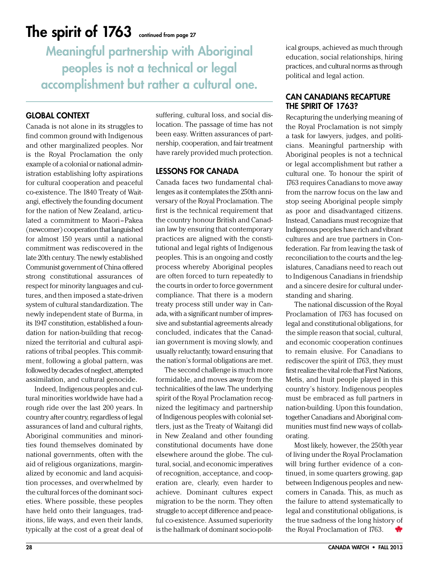### The spirit of  $1763$  continued from page 27

Meaningful partnership with Aboriginal peoples is not a technical or legal accomplishment but rather a cultural one.

### Global Context

Canada is not alone in its struggles to find common ground with Indigenous and other marginalized peoples. Nor is the Royal Proclamation the only example of a colonial or national administration establishing lofty aspirations for cultural cooperation and peaceful co-existence. The 1840 Treaty of Waitangi, effectively the founding document for the nation of New Zealand, articulated a commitment to Maori–Pakea (newcomer) cooperation that languished for almost 150 years until a national commitment was rediscovered in the late 20th century. The newly established Communist government of China offered strong constitutional assurances of respect for minority languages and cultures, and then imposed a state-driven system of cultural standardization. The newly independent state of Burma, in its 1947 constitution, established a foundation for nation-building that recognized the territorial and cultural aspirations of tribal peoples. This commitment, following a global pattern, was followed by decades of neglect, attempted assimilation, and cultural genocide.

Indeed, Indigenous peoples and cultural minorities worldwide have had a rough ride over the last 200 years. In country after country, regardless of legal assurances of land and cultural rights, Aboriginal communities and minorities found themselves dominated by national governments, often with the aid of religious organizations, marginalized by economic and land acquisition processes, and overwhelmed by the cultural forces of the dominant societies. Where possible, these peoples have held onto their languages, traditions, life ways, and even their lands, typically at the cost of a great deal of

suffering, cultural loss, and social dislocation. The passage of time has not been easy. Written assurances of partnership, cooperation, and fair treatment have rarely provided much protection.

### Lessons for Canada

Canada faces two fundamental challenges as it contemplates the 250th anniversary of the Royal Proclamation. The first is the technical requirement that the country honour British and Canadian law by ensuring that contemporary practices are aligned with the constitutional and legal rights of Indigenous peoples. This is an ongoing and costly process whereby Aboriginal peoples are often forced to turn repeatedly to the courts in order to force government compliance. That there is a modern treaty process still under way in Canada, with a significant number of impressive and substantial agreements already concluded, indicates that the Canadian government is moving slowly, and usually reluctantly, toward ensuring that the nation's formal obligations are met.

The second challenge is much more formidable, and moves away from the technicalities of the law. The underlying spirit of the Royal Proclamation recognized the legitimacy and partnership of Indigenous peoples with colonial settlers, just as the Treaty of Waitangi did in New Zealand and other founding constitutional documents have done elsewhere around the globe. The cultural, social, and economic imperatives of recognition, acceptance, and cooperation are, clearly, even harder to achieve. Dominant cultures expect migration to be the norm. They often struggle to accept difference and peaceful co-existence. Assumed superiority is the hallmark of dominant socio-polit-

ical groups, achieved as much through education, social relationships, hiring practices, and cultural norms as through political and legal action.

### Can Canadians Recapture THE SPIRIT OF 1763?

Recapturing the underlying meaning of the Royal Proclamation is not simply a task for lawyers, judges, and politicians. Meaningful partnership with Aboriginal peoples is not a technical or legal accomplishment but rather a cultural one. To honour the spirit of 1763 requires Canadians to move away from the narrow focus on the law and stop seeing Aboriginal people simply as poor and disadvantaged citizens. Instead, Canadians must recognize that Indigenous peoples have rich and vibrant cultures and are true partners in Confederation. Far from leaving the task of reconciliation to the courts and the legislatures, Canadians need to reach out to Indigenous Canadians in friendship and a sincere desire for cultural understanding and sharing.

The national discussion of the Royal Proclamation of 1763 has focused on legal and constitutional obligations, for the simple reason that social, cultural, and economic cooperation continues to remain elusive. For Canadians to rediscover the spirit of 1763, they must first realize the vital role that First Nations, Metis, and Inuit people played in this country's history. Indigenous peoples must be embraced as full partners in nation-building. Upon this foundation, together Canadians and Aboriginal communities must find new ways of collaborating.

Most likely, however, the 250th year of living under the Royal Proclamation will bring further evidence of a continued, in some quarters growing, gap between Indigenous peoples and newcomers in Canada. This, as much as the failure to attend systematically to legal and constitutional obligations, is the true sadness of the long history of the Royal Proclamation of 1763.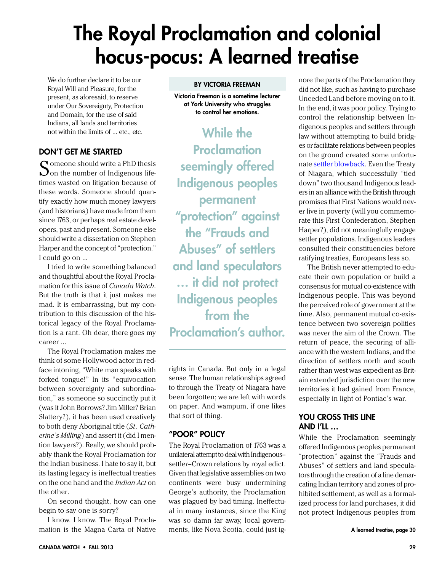## <span id="page-28-0"></span>The Royal Proclamation and colonial hocus-pocus: A learned treatise

We do further declare it to be our Royal Will and Pleasure, for the present, as aforesaid, to reserve under Our Sovereignty, Protection and Domain, for the use of said Indians, all lands and territories not within the limits of … etc., etc.

### Don't Get Me Started

 $\Omega$  omeone should write a PhD thesis  $\mathbf{\mathcal{Q}}$  on the number of Indigenous lifetimes wasted on litigation because of these words. Someone should quantify exactly how much money lawyers (and historians) have made from them since 1763, or perhaps real estate developers, past and present. Someone else should write a dissertation on Stephen Harper and the concept of "protection." I could go on …

I tried to write something balanced and thoughtful about the Royal Proclamation for this issue of *Canada Watch*. But the truth is that it just makes me mad. It is embarrassing, but my contribution to this discussion of the historical legacy of the Royal Proclamation is a rant. Oh dear, there goes my career …

The Royal Proclamation makes me think of some Hollywood actor in redface intoning, "White man speaks with forked tongue!" In its "equivocation between sovereignty and subordination," as someone so succinctly put it (was it John Borrows? Jim Miller? Brian Slattery?), it has been used creatively to both deny Aboriginal title (*St. Catherine's Milling*) and assert it (did I mention lawyers?). Really, we should probably thank the Royal Proclamation for the Indian business. I hate to say it, but its lasting legacy is ineffectual treaties on the one hand and the *Indian Act* on the other.

On second thought, how can one begin to say one is sorry?

I know. I know. The Royal Proclamation is the Magna Carta of Native Victoria Freeman is a sometime lecturer at York University who struggles to control her emotions.

While the Proclamation seemingly offered Indigenous peoples permanent "protection" against the "Frauds and Abuses" of settlers and land speculators … it did not protect Indigenous peoples from the Proclamation's author.

rights in Canada. But only in a legal sense. The human relationships agreed to through the Treaty of Niagara have been forgotten; we are left with words on paper. And wampum, if one likes that sort of thing.

### "Poor" Policy

The Royal Proclamation of 1763 was a unilateral attempt to deal with Indigenous– settler–Crown relations by royal edict. Given that legislative assemblies on two continents were busy undermining George's authority, the Proclamation was plagued by bad timing. Ineffectual in many instances, since the King was so damn far away, local governments, like Nova Scotia, could just ig-

nore the parts of the Proclamation they did not like, such as having to purchase Unceded Land before moving on to it. In the end, it was poor policy. Trying to control the relationship between Indigenous peoples and settlers through law without attempting to build bridges or facilitate relations between peoples on the ground created some unfortunate [settler blowback](http://en.wikipedia.org/wiki/American_Revolution). Even the Treaty of Niagara, which successfully "tied down" two thousand Indigenous leaders in an alliance with the British through promises that First Nations would never live in poverty (will you commemorate this First Confederation, Stephen Harper?), did not meaningfully engage settler populations. Indigenous leaders consulted their constituencies before ratifying treaties, Europeans less so.

The British never attempted to educate their own population or build a consensus for mutual co-existence with Indigenous people. This was beyond the perceived role of government at the time. Also, permanent mutual co-existence between two sovereign polities was never the aim of the Crown. The return of peace, the securing of alliance with the western Indians, and the direction of settlers north and south rather than west was expedient as Britain extended jurisdiction over the new territories it had gained from France, especially in light of Pontiac's war.

### YOU CROSS THIS LINE and I'll …

While the Proclamation seemingly offered Indigenous peoples permanent "protection" against the "Frauds and Abuses" of settlers and land speculators through the creation of a line demarcating Indian territory and zones of prohibited settlement, as well as a formalized process for land purchases, it did not protect Indigenous peoples from

A learned treatise, page 30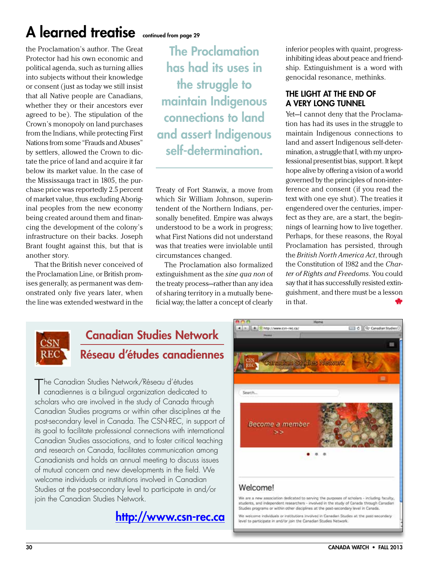## A learned treatise continued from page 29

the Proclamation's author. The Great Protector had his own economic and political agenda, such as turning allies into subjects without their knowledge or consent (just as today we still insist that all Native people are Canadians, whether they or their ancestors ever agreed to be). The stipulation of the Crown's monopoly on land purchases from the Indians, while protecting First Nations from some "Frauds and Abuses" by settlers, allowed the Crown to dictate the price of land and acquire it far below its market value. In the case of the Mississauga tract in 1805, the purchase price was reportedly 2.5 percent of market value, thus excluding Aboriginal peoples from the new economy being created around them and financing the development of the colony's infrastructure on their backs. Joseph Brant fought against this, but that is another story.

That the British never conceived of the Proclamation Line, or British promises generally, as permanent was demonstrated only five years later, when the line was extended westward in the

The Proclamation has had its uses in the struggle to maintain Indigenous connections to land and assert Indigenous self-determination.

Treaty of Fort Stanwix, a move from which Sir William Johnson, superintendent of the Northern Indians, personally benefited. Empire was always understood to be a work in progress; what First Nations did not understand was that treaties were inviolable until circumstances changed.

The Proclamation also formalized extinguishment as the *sine qua non* of the treaty process—rather than any idea of sharing territory in a mutually beneficial way, the latter a concept of clearly inferior peoples with quaint, progressinhibiting ideas about peace and friendship. Extinguishment is a word with genocidal resonance, methinks.

### The Light at the End of a Very Long Tunnel

Yet—I cannot deny that the Proclamation has had its uses in the struggle to maintain Indigenous connections to land and assert Indigenous self-determination, a struggle that I, with my unprofessional presentist bias, support. It kept hope alive by offering a vision of a world governed by the principles of non-interference and consent (if you read the text with one eye shut). The treaties it engendered over the centuries, imperfect as they are, are a start, the beginnings of learning how to live together. Perhaps, for these reasons, the Royal Proclamation has persisted, through the *British North America Act*, through the Constitution of 1982 and the *Charter of Rights and Freedoms*. You could say that it has successfully resisted extinguishment, and there must be a lesson in that.



### Canadian Studies Network Réseau d'études canadiennes

The Canadian Studies Network/Réseau d'études<br>Canadiennes is a bilingual organization dedicate canadiennes is a bilingual organization dedicated to scholars who are involved in the study of Canada through Canadian Studies programs or within other disciplines at the post-secondary level in Canada. The CSN-REC, in support of its goal to facilitate professional connections with international Canadian Studies associations, and to foster critical teaching and research on Canada, facilitates communication among Canadianists and holds an annual meeting to discuss issues of mutual concern and new developments in the field. We welcome individuals or institutions involved in Canadian Studies at the post-secondary level to participate in and/or join the Canadian Studies Network.





ne indviduals or institutions involved in Canadian Studies at the post-secondary level to participate in and/or join the Canadian Studies Network.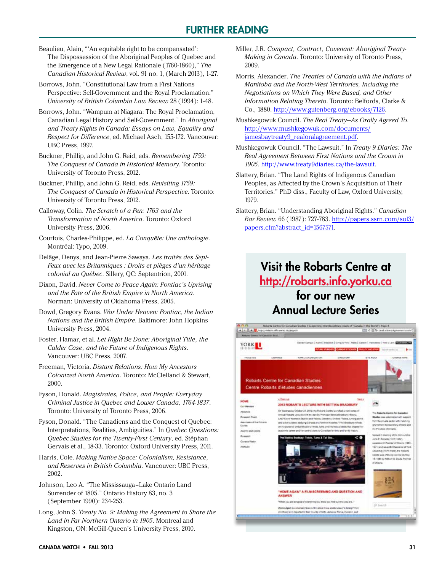### Further Reading

- <span id="page-30-0"></span>Beaulieu, Alain, "'An equitable right to be compensated': The Dispossession of the Aboriginal Peoples of Quebec and the Emergence of a New Legal Rationale (1760-1860)," *The Canadian Historical Review*, vol. 91 no. 1, (March 2013), 1-27.
- Borrows, John. "Constitutional Law from a First Nations Perspective: Self-Government and the Royal Proclamation." *University of British Columbia Law Review* 28 (1994): 1-48.
- Borrows, John. "Wampum at Niagara: The Royal Proclamation, Canadian Legal History and Self-Government." In *Aboriginal and Treaty Rights in Canada: Essays on Law, Equality and Respect for Difference*, ed. Michael Asch, 155-172. Vancouver: UBC Press, 1997.
- Buckner, Phillip, and John G. Reid, eds. *Remembering 1759: The Conquest of Canada in Historical Memory*. Toronto: University of Toronto Press, 2012.
- Buckner, Phillip, and John G. Reid, eds. *Revisiting 1759: The Conquest of Canada in Historical Perspective*. Toronto: University of Toronto Press, 2012.
- Calloway, Colin. *The Scratch of a Pen: 1763 and the Transformation of North America*. Toronto: Oxford University Press, 2006.
- Courtois, Charles-Philippe, ed. *La Conquête: Une anthologie*. Montréal: Typo, 2009.
- Delâge, Denys, and Jean-Pierre Sawaya. *Les traités des Sept-Feux avec les Britanniques : Droits et pièges d'un héritage colonial au Québec*. Sillery, QC: Septentrion, 2001.
- Dixon, David. *Never Come to Peace Again: Pontiac's Uprising and the Fate of the British Empire in North America*. Norman: University of Oklahoma Press, 2005.
- Dowd, Gregory Evans. *War Under Heaven: Pontiac, the Indian Nations and the British Empire*. Baltimore: John Hopkins University Press, 2004.
- Foster, Hamar, et al. *Let Right Be Done: Aboriginal Title, the Calder Case, and the Future of Indigenous Rights*. Vancouver: UBC Press, 2007.
- Freeman, Victoria. *Distant Relations: How My Ancestors Colonized North America*. Toronto: McClelland & Stewart, 2000.
- Fyson, Donald. *Magistrates, Police, and People: Everyday Criminal Justice in Quebec and Lower Canada, 1764-1837*. Toronto: University of Toronto Press, 2006.
- Fyson, Donald. "The Canadiens and the Conquest of Quebec: Interpretations, Realities, Ambiguities." In *Quebec Questions: Quebec Studies for the Twenty-First Century*, ed. Stéphan Gervais et al., 18-33. Toronto: Oxford University Press, 2011.
- Harris, Cole. *Making Native Space: Colonialism, Resistance, and Reserves in British Columbia*. Vancouver: UBC Press, 2002.
- Johnson, Leo A. "The Mississauga–Lake Ontario Land Surrender of 1805." Ontario History 83, no. 3 (September 1990): 234-253.
- Long, John S. *Treaty No. 9: Making the Agreement to Share the Land in Far Northern Ontario in 1905*. Montreal and Kingston, ON: McGill-Queen's University Press, 2010.
- Miller, J.R. *Compact, Contract, Covenant: Aboriginal Treaty-Making in Canada*. Toronto: University of Toronto Press, 2009.
- Morris, Alexander. *The Treaties of Canada with the Indians of Manitoba and the North-West Territories, Including the Negotiations on Which They Were Based, and Other Information Relating Thereto*. Toronto: Belfords, Clarke & Co., 1880.<http://www.gutenberg.org/ebooks/7126>.
- Mushkegowuk Council. *The Real Treaty—As Orally Agreed To*. [http://www.mushkegowuk.com/documents/](http://www.mushkegowuk.com/documents/jamesbaytreaty9_realoralagreement.pdf) [jamesbaytreaty9\\_realoralagreement.pdf](http://www.mushkegowuk.com/documents/jamesbaytreaty9_realoralagreement.pdf).
- Mushkegowuk Council. "The Lawsuit." In *Treaty 9 Diaries: The Real Agreement Between First Nations and the Crown in 1905*. [http://www.treaty9diaries.ca/the-lawsuit.](http://www.treaty9diaries.ca/the-lawsuit)
- Slattery, Brian. "The Land Rights of Indigenous Canadian Peoples, as Affected by the Crown's Acquisition of Their Territories." PhD diss., Faculty of Law, Oxford University, 1979.
- Slattery, Brian. "Understanding Aboriginal Rights." *Canadian Bar Review* 66 (1987): 727-783. [http://papers.ssrn.com/sol3/](http://papers.ssrn.com/sol3/papers.cfm?abstract_id=1567571) [papers.cfm?abstract\\_id=1567571.](http://papers.ssrn.com/sol3/papers.cfm?abstract_id=1567571)

### Visit the Robarts Centre at <http://robarts.info.yorku.ca> for our new Annual Lecture Series